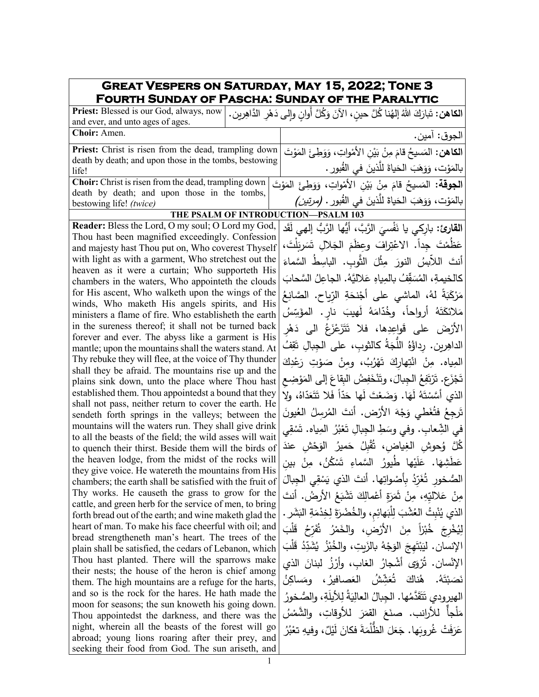## **Great Vespers on Saturday, May 15, 2022; Tone 3 Fourth Sunday of Pascha: Sunday of the Paralytic**

| Priest: Blessed is our God, always, now                                                                   | ا <b>لكاهن:</b> تَبارَكَ اللهُ إلهُنا كُلَّ حينٍ، الآنَ وَكُلَّ أُوانٍ وإِلى دَهْرِ الدَّاهِرين. |
|-----------------------------------------------------------------------------------------------------------|--------------------------------------------------------------------------------------------------|
| and ever, and unto ages of ages.                                                                          |                                                                                                  |
| Choir: Amen.                                                                                              | الجوق: آمين.                                                                                     |
| Priest: Christ is risen from the dead, trampling down                                                     | ا <b>لكاهن:</b> المَسيحُ قامَ مِنْ بَيْنِ الأَمْواتِ، وَوَطِئَ المَوْتَ                          |
| death by death; and upon those in the tombs, bestowing<br>life!                                           | بالمَوْت، وَوَهَبَ الْحَياةَ للَّذينَ في القُبورِ .                                              |
| Choir: Christ is risen from the dead, trampling down                                                      | ا <b>لجوقة:</b> المَسيحُ قامَ مِنْ بَيْنِ الأَمْواتِ، وَوَطِئَ المَوْتَ                          |
| death by death; and upon those in the tombs,                                                              |                                                                                                  |
| bestowing life! (twice)                                                                                   | بالمَوْت، وَوَهَبَ الْحَياةَ للَّذينَ في القُبورِ . <i>(مرتين)</i>                               |
| THE PSALM OF INTRODUCTION-PSALM 103                                                                       |                                                                                                  |
| Reader: Bless the Lord, O my soul; O Lord my God,                                                         | ا <b>لقارئ:</b> بارِكي يا نَفْسيَ الزَّبَّ، أَيُّها الزَّبُّ إل <sub>َّ</sub> هي لَقَد           |
| Thou hast been magnified exceedingly. Confession                                                          | عَظَمْتَ جِداً. الاعْتِرافَ وعِظَمَ الْجَلالِ تَسَرِبَلْتَ،                                      |
| and majesty hast Thou put on, Who coverest Thyself                                                        |                                                                                                  |
| with light as with a garment, Who stretchest out the                                                      | أنتَ   اللأَبسُ   النورَ   مِثْلَ   الثّوبِ.   الباسِطُ   السَّماءَ                              |
| heaven as it were a curtain; Who supporteth His                                                           | كالخيمةِ، المُسَقِّفُ بالمِياهِ عَلاليَّهُ. الجاعِلُ السَّحابَ                                   |
| chambers in the waters, Who appointeth the clouds                                                         |                                                                                                  |
| for His ascent, Who walketh upon the wings of the<br>winds, Who maketh His angels spirits, and His        | مَرْكَبَةً لهُ، الماشي على أَجْنحَةِ الرّياحِ. الصَّانِعُ                                        |
| ministers a flame of fire. Who establisheth the earth                                                     | مَلائكَتَهُ أَرواحاً، وخُدّامَهُ لَهيبَ نارٍ. المؤَسِّسُ                                         |
| in the sureness thereof; it shall not be turned back                                                      | الأَرْضَ على قَواعِدِها، فلا تَتَزَعْزَعُ الى دَهْر                                              |
| forever and ever. The abyss like a garment is His                                                         |                                                                                                  |
| mantle; upon the mountains shall the waters stand. At                                                     | الداهِرِينِ. رِداؤُهُ اللَّجَةُ كالثوبِ، على الجِبالِ تَقِفُ                                     |
| Thy rebuke they will flee, at the voice of Thy thunder                                                    | المِياه. مِنْ انْتِهارِكَ تَهْرُبُ، ومِنْ صَوْتِ رَعْدِكَ                                        |
| shall they be afraid. The mountains rise up and the<br>plains sink down, unto the place where Thou hast   | تَجْزَع. تَرْتَفِعُ الْجِبالَ، وتَتْخَفِضُ البِقاعَ إلى المَوْضِع                                |
| established them. Thou appointedst a bound that they                                                      |                                                                                                  |
| shall not pass, neither return to cover the earth. He                                                     | الذي أَسَّسْتَهُ لَهَا. وَضَعْتَ لَها حَدّاً فَلا تَتَعَدّاهُ، ولا                               |
| sendeth forth springs in the valleys; between the                                                         | تَرجِعُ فَتُغَطَّى وَجْهَ الأَرْضِ. أَنتَ الْمُرسِلُ الْعُيونَ                                   |
| mountains will the waters run. They shall give drink                                                      | في الشِّعابِ. وفي وسَطِ الْجِبالِ تَعْبُرُ الْمِياهِ. تَسْقِي                                    |
| to all the beasts of the field; the wild asses will wait                                                  |                                                                                                  |
| to quench their thirst. Beside them will the birds of                                                     | كُلَّ وُحوش الغِياض، ثَقْبِلُ حَميرُ الوَحْشِ عندَ                                               |
| the heaven lodge, from the midst of the rocks will<br>they give voice. He watereth the mountains from His | عَطَٰشِهَا. عَلَيْها طَٰيورُ السَّماءِ شَنْكُنُ، مِنْ بين                                        |
| chambers; the earth shall be satisfied with the fruit of                                                  | الصُّخور تُغَرِّدُ بأصْواتِها. أنتَ الذي يَسْقِى الجِبالَ                                        |
| Thy works. He causeth the grass to grow for the                                                           | مِنْ عَلاليِّهِ، مِنْ ثَمَرَةِ أَعْمالِكَ تَشْبَعُ الأرضُ. أنتَ                                  |
| cattle, and green herb for the service of men, to bring                                                   | الذي يُنْبِتُ العُشْبَ لِلْبَهائِمِ، والخُضْرَةَ لِخِدْمَةِ البَشَرِ .                           |
| forth bread out of the earth; and wine maketh glad the                                                    |                                                                                                  |
| heart of man. To make his face cheerful with oil; and                                                     | لِيُخْرِجَ خُبْرْاً مِنَ الأَرْضِ، والْخَمْرُ تُفَرِّحُ قَلْبَ                                   |
| bread strengtheneth man's heart. The trees of the                                                         | الإنسان. ليَبْتَهجَ الوَجْهُ بالزَبِتِ، والخُبْزُ يُشَدِّدُ قَلْبَ                               |
| plain shall be satisfied, the cedars of Lebanon, which<br>Thou hast planted. There will the sparrows make |                                                                                                  |
| their nests; the house of the heron is chief among                                                        | الإنْسان. تُرْوَى أشْجارُ الغاب، وأِرْزُ لبنانَ الذي                                             |
| them. The high mountains are a refuge for the harts,                                                      | هُناكَ<br>ثَعَشْشُ<br>العَصافيرُ ،<br>نَصَىْتُهُ.                                                |
| and so is the rock for the hares. He hath made the                                                        | الهيرودي تَتَقَدَّمُها. الجِبالُ العالِيَةُ لِلأَيلَةِ، والصُّخورُ                               |
| moon for seasons; the sun knoweth his going down.                                                         |                                                                                                  |
| Thou appointedst the darkness, and there was the                                                          | مَلْجاً للأرانب. صنَعَ القمَرَ للأوقاتِ، والشَّمْسُ                                              |
| night, wherein all the beasts of the forest will go                                                       | عَرَفَتْ غُروبَها. جَعَلَ الظُّلْمَةَ فكانَ لَيْلٌ، وفِيهِ تعْبُرُ                               |
| abroad; young lions roaring after their prey, and                                                         |                                                                                                  |
| seeking their food from God. The sun ariseth, and                                                         |                                                                                                  |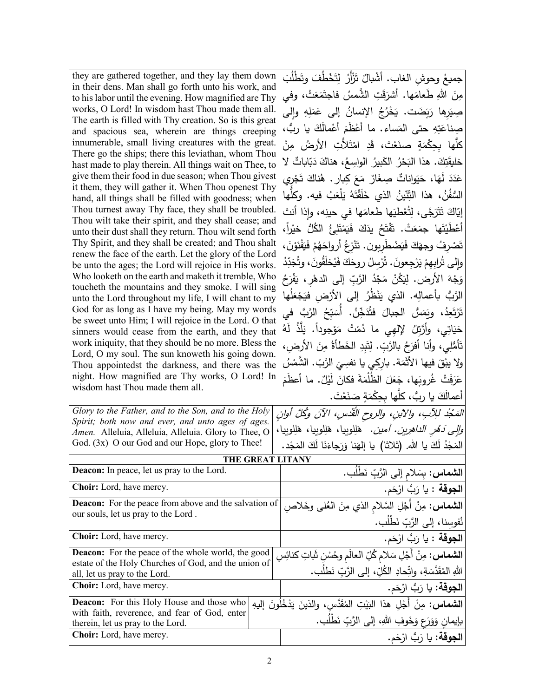| they are gathered together, and they lay them down                                                                | جميعُ وحوشِ الغاب. أشْبالٌ تَزْأَرُ لِتَخْطُفَ وتَطْلُبَ                        |
|-------------------------------------------------------------------------------------------------------------------|---------------------------------------------------------------------------------|
| in their dens. Man shall go forth unto his work, and                                                              | مِنَ اللهِ طَعامَها. أشرَقَتِ الشَّمسُ فاجتَمَعَتْ، وفي                         |
| to his labor until the evening. How magnified are Thy<br>works, O Lord! In wisdom hast Thou made them all.        |                                                                                 |
| The earth is filled with Thy creation. So is this great                                                           | صِيَرِها رَبَضَت. يَخْرُجُ الإِنسانُ إِلَى عَمَلِهِ وإِلَى                      |
| and spacious sea, wherein are things creeping                                                                     | صِناعَتِهِ حتى المَساء. ما أَعْظَمَ أَعْمالَكَ يا ربُّ،                         |
| innumerable, small living creatures with the great.                                                               | كلُّها بحِكْمَةٍ صنَعْتَ، قَدِ امْتَلأْتِ الأرضُ مِنْ                           |
| There go the ships; there this leviathan, whom Thou                                                               | خليقَتِكَ. هذا البَحْرُ الكَبيرُ الواسِعُ، هناكَ دَبّاباتٌ لا                   |
| hast made to play therein. All things wait on Thee, to<br>give them their food in due season; when Thou givest    |                                                                                 |
| it them, they will gather it. When Thou openest Thy                                                               | عَدَدَ لَهَا، حَيَواناتٌ صِغَارٌ مَعَ كِبارٍ . هُناكَ تَجْرِي                   |
| hand, all things shall be filled with goodness; when                                                              | السُّفُنُ، هذا النِّتّينُ الذي خَلَقْتَهُ يَلْعَبُ فيه. وكلّها                  |
| Thou turnest away Thy face, they shall be troubled.                                                               | إِيّاكَ تَتَرَجَّى، لِتُعْطِيَها طعامَها في حينِه، وإذا أنتَ                    |
| Thou wilt take their spirit, and they shall cease; and                                                            | أَعْطَيْتَها جمَعَتْ. تَفْتَحُ يدَكَ فَيَمْتَلِئُ الْكُلُّ خيْراً،              |
| unto their dust shall they return. Thou wilt send forth<br>Thy Spirit, and they shall be created; and Thou shalt  |                                                                                 |
| renew the face of the earth. Let the glory of the Lord                                                            | تَصْرِفُ وجهَكَ فَيَضْطَرِبِونِ. تَنْزِعُ أَرواحَهُمْ فَيَفْنَوْنَ،             |
| be unto the ages; the Lord will rejoice in His works.                                                             | وإِلَى ثُرابِهِمْ يَرْجِعُونَ. تُرْسِلُ روِحَكَ فَيُخلَقُونَ، وتُجَدِّدُ        |
| Who looketh on the earth and maketh it tremble, Who                                                               | وَجْهَ الأرض. لِيَكُنْ مَجْدُ الرَّبِّ إِلَى الدهْرِ ، يَفْرَحُ                 |
| toucheth the mountains and they smoke. I will sing                                                                | الرَّبُّ بأعمالِه. الذي يَنْظُرُ إلى الأرْضِ فيَجْعَلَها                        |
| unto the Lord throughout my life, I will chant to my<br>God for as long as I have my being. May my words          |                                                                                 |
| be sweet unto Him; I will rejoice in the Lord. O that                                                             | تَرْتَعِدُ، ويَمَسُّ الجبالَ فتُدَخِّنُ. أَسَبِّحُ الرَّبَّ في                  |
| sinners would cease from the earth, and they that                                                                 | حَيَاتِي، وأَرَّتِلُ لإلهِي ما دُمْتُ مَوْجوداً. يَلَّذُ لَهُ                   |
| work iniquity, that they should be no more. Bless the                                                             | تَأْمُلِي، وأنا أفرَحُ بالرَّبِّ. لِتَبِدِ الخَطأةُ مِنَ الأرضِ،                |
| Lord, O my soul. The sun knoweth his going down.                                                                  | ولا يبْقَ فيها الأَثَمَة. بارِكِي يا نفسِيَ الرَّبِّ. الشَّمْسُ                 |
| Thou appointedst the darkness, and there was the<br>night. How magnified are Thy works, O Lord! In                |                                                                                 |
| wisdom hast Thou made them all.                                                                                   | عَرَفَتْ غُروبَها، جَعَلَ الظُّلَّمَةَ فكانَ لَيْلٌ. ما أعظَمَ                  |
|                                                                                                                   | أعمالَكَ يا ربُّ، كلَّها بحِكْمَةٍ صَنَعْتَ.                                    |
| Glory to the Father, and to the Son, and to the Holy                                                              | المَجْدُ للِآبِ، والآبنِ، والروحِ الْقُدُسِ، الآنَ وكُلَّ أُوانِ                |
| Spirit; both now and ever, and unto ages of ages.<br>Amen. Alleluia, Alleluia, Alleluia. Glory to Thee, O         | <i>والى دَهْرِ الداهرِين. أمين.</i> هَلِلوييا، هَلِلوييا، هَلِلويا،             |
| God. (3x) O our God and our Hope, glory to Thee!                                                                  | المَجْدُ لَكَ يا الله. (ثلاثا)  يا إلهَنا وَرَجاءَنَا لَكَ المَجْد.             |
| <b>THE GREAT LITANY</b>                                                                                           |                                                                                 |
| <b>Deacon:</b> In peace, let us pray to the Lord.                                                                 | الشماس: بِسَلام إلى الرَّبِّ نَطْلُب.                                           |
| Choir: Lord, have mercy.                                                                                          | ا <b>لجوقة</b> : يا رَبُّ ارْحَم.                                               |
| <b>Deacon:</b> For the peace from above and the salvation of                                                      | <b>الشماس:</b> مِنْ أَجْلِ السَّلام الذي مِنَ العُلمي وخَلاصِ                   |
| our souls, let us pray to the Lord.                                                                               | نُفوسِنا، إلى الرَّبِّ نَطْلُبٍ.                                                |
| Choir: Lord, have mercy.                                                                                          |                                                                                 |
|                                                                                                                   | ا <b>لجوقة</b> : يا رَبُّ ارْحَم.                                               |
| <b>Deacon:</b> For the peace of the whole world, the good<br>estate of the Holy Churches of God, and the union of | ا <b>لشماس :</b> مِنْ أَجْلِ سَلام كُلِّ العالَم وحُسْنِ شَاتِ كنائِسِ          |
| all, let us pray to the Lord.                                                                                     | اللهِ المُقَدَّسَةِ، واتِّحادِ الكُلِّ، إلى الرَّبِّ نَطلُب.                    |
| Choir: Lord, have mercy.                                                                                          | ا <b>لجوقة:</b> يا رَبُّ ارْحَم.                                                |
| <b>Deacon:</b> For this Holy House and those who                                                                  | ا <b>لشماس:</b> مِنْ أَجْلِ هذا البَيْتِ المُقَدَّسِ، والذينَ يَدْخُلُونَ إليهِ |
| with faith, reverence, and fear of God, enter<br>therein, let us pray to the Lord.                                | بإيمانِ وَوَرَعٍ وَخَوفِ اللهِ، إلى الرَّبِّ نَطْلُبٍ.                          |
| Choir: Lord, have mercy.                                                                                          | ا <b>لجوقة:</b> يا رَبُّ ارْحَم.                                                |
|                                                                                                                   |                                                                                 |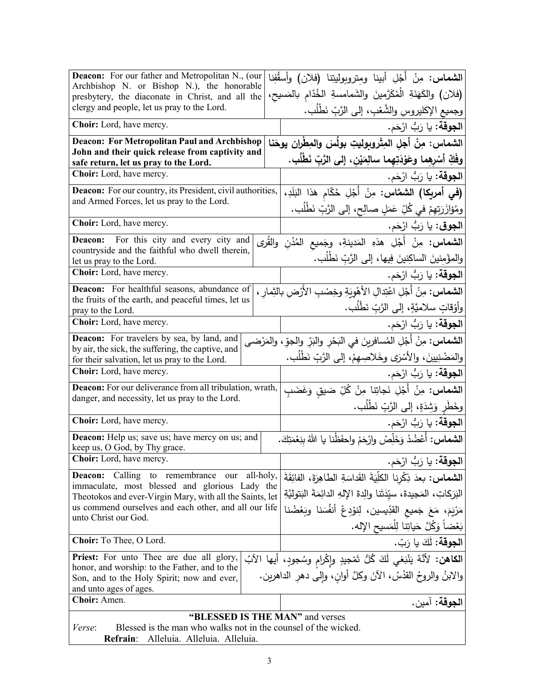| <b>Deacon:</b> For our father and Metropolitan N., (our                                                               |           | ا <b>لشماس:</b> مِنْ أَجْلِ أَبينا ومِتروبوليتِنا (فلان) وأسقُفِنا                   |
|-----------------------------------------------------------------------------------------------------------------------|-----------|--------------------------------------------------------------------------------------|
| Archbishop N. or Bishop N.), the honorable<br>presbytery, the diaconate in Christ, and all the                        |           | (فلان) والكَهَنَةِ الْمُكَرَّمينَ والشَمامسةِ الخُدّام بالمَسيح،                     |
| clergy and people, let us pray to the Lord.                                                                           |           | وجميع الإكليروس والشُّعْبِ، إلى الرَّبِّ نَطْلَب.                                    |
| Choir: Lord, have mercy.                                                                                              |           | <b>الجوقة:</b> يا رَبُّ ارْحَم.                                                      |
| <b>Deacon: For Metropolitan Paul and Archbishop</b>                                                                   |           | الشماس: مِنْ أجلِ المِتْروبوليتِ بولُسَ والمِطْرانِ يوحَنا                           |
| John and their quick release from captivity and<br>safe return, let us pray to the Lord.                              |           | وفَكِّ أسْرِهِما وعَوْدَتِهِما سالِمَيْنِ، إلى الرَّبِّ نَطْلُبٍ.                    |
| Choir: Lord, have mercy.                                                                                              |           | ا <b>لجوقة:</b> يا رَبُّ ارْحَم.                                                     |
| <b>Deacon:</b> For our country, its President, civil authorities,                                                     |           | (في أمريكا) الشعَّاس: مِنْ أَجْلِ حُكَّام هَذا النَلَدِ،                             |
| and Armed Forces, let us pray to the Lord.                                                                            |           | ومُؤازَرَتِهِمْ في كُلِّ عَمَلٍ صالِحٍ، إلى الرَّبِّ نَطْلَبٍ.                       |
| Choir: Lord, have mercy.                                                                                              |           | ا <b>لجوق</b> : يا رَبُّ ارْحَم.                                                     |
| For this city and every city and<br>Deacon:                                                                           |           | <b>الشماس:</b> مِنْ أَجْلِ هذهِ المَدينةِ، وجَميع المُدُنِ والقُرى                   |
| countryside and the faithful who dwell therein,<br>let us pray to the Lord.                                           |           | والمؤْمِنينَ الساكِنينَ فِيها، إلى الرَّبِّ نَطْلُبٍ.                                |
| Choir: Lord, have mercy.                                                                                              |           | ا <b>لجوقة:</b> يا رَبُّ ارْحَم.                                                     |
| <b>Deacon:</b> For healthful seasons, abundance of                                                                    |           | ا <b>لشماس:</b> مِنْ أَجْلِ اعْتِدالِ الأهْوِيَةِ وخِصْبِ الأَرْضِ بالثِمارِ ،       |
| the fruits of the earth, and peaceful times, let us<br>pray to the Lord.                                              |           | وأَوْقَاتٍ سلاميَّةٍ، إلى الرَّبِّ نَطْلُبٍ.                                         |
| Choir: Lord, have mercy.                                                                                              |           | ا <b>لجوقة:</b> يا رَبُّ ارْحَم.                                                     |
| <b>Deacon:</b> For travelers by sea, by land, and                                                                     |           | ا <b>لشماس:</b> مِنْ أَجْلِ المُسافريِنَ في البَحْرِ  والبَرِّ  والجوِّ ، والمَرْضـى |
| by air, the sick, the suffering, the captive, and<br>for their salvation, let us pray to the Lord.                    |           | والمَضْنِيينَ، والأَسْرَى وخَلاصِهِمْ، إلى الرَّبِّ نَطْلُب.                         |
| <b>Choir:</b> Lord, have mercy.                                                                                       |           | ا <b>لجوقة:</b> يا رَبُّ ارْحَم.                                                     |
| Deacon: For our deliverance from all tribulation, wrath,                                                              |           | ا <b>لشماس:</b> مِنْ أَجْلِ نَجاتِنا مِنْ كُلِّ ضيقٍ وَغَضَبِ                        |
| danger, and necessity, let us pray to the Lord.                                                                       |           | وخَطَرِ وَشِدَةٍ، إلى الرَّبِّ نَطْلُب.                                              |
| Choir: Lord, have mercy.                                                                                              |           | ا <b>لجوقة:</b> يا رَبُّ ارْحَم.                                                     |
| <b>Deacon:</b> Help us; save us; have mercy on us; and<br>keep us, O God, by Thy grace.                               |           | ا <b>لشماس:</b> أُعْضُدْ وَخَلِّصْ وارْحَمْ واحفَظْنا يا اللهُ بِنِعْمَتِكَ.         |
| Choir: Lord, have mercy.                                                                                              |           | ِ ا <b>لجوقة:</b> يا رَبُّ ارْحَم.                                                   |
| <b>Deacon:</b> Calling to remembrance our                                                                             | all-holy, | الشعاس: بعدَ ذِكْرِنا الكلِّيَةَ القَداسَةِ الطاهِرَةَ، الفائِقَةَ                   |
| immaculate, most blessed and glorious Lady the<br>Theotokos and ever-Virgin Mary, with all the Saints, let            |           | البَرَكاتِ، المَجيدةَ، سيّدَتَنا والِدةَ الإِلهِ الدائِمَةَ البَتوليَّةِ             |
| us commend ourselves and each other, and all our life                                                                 |           | مَرْيَمَ، مَعَ جَميع القدِّيسين، لِنوْدِعْ أَنفُسَنا وبَعْضُنا                       |
| unto Christ our God.                                                                                                  |           | بَعْضاً وَكُلَّ حَياتِنا لِلْمَسيح الإِله.                                           |
| Choir: To Thee, O Lord.                                                                                               |           | ا <b>لجوقة:</b> لَكَ يا رَبّ.                                                        |
| <b>Priest:</b> For unto Thee are due all glory,                                                                       |           | ا <b>لكاهن:</b> لأنَّهُ يَنْبَغي لَكَ كُلُّ تَمْجِيدٍ وإِكْرامٍ وسُجودٍ، أيها الآبُ  |
| honor, and worship: to the Father, and to the<br>Son, and to the Holy Spirit; now and ever,                           |           | والابنُ والروحُ القدُسُ، الأنَ وكلَّ أوانِ، وإلى دهرِ الداهرين.                      |
| and unto ages of ages.                                                                                                |           |                                                                                      |
| Choir: Amen.                                                                                                          |           | الحوقة: آمين.                                                                        |
| "BLESSED IS THE MAN" and verses                                                                                       |           |                                                                                      |
| Blessed is the man who walks not in the counsel of the wicked.<br>Verse:<br>Refrain:<br>Alleluia. Alleluia. Alleluia. |           |                                                                                      |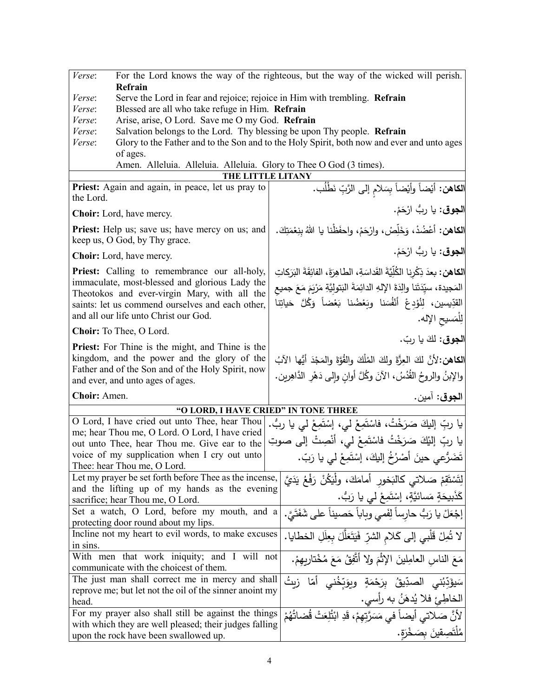| Verse:                                                                                                                                         | For the Lord knows the way of the righteous, but the way of the wicked will perish.        |  |
|------------------------------------------------------------------------------------------------------------------------------------------------|--------------------------------------------------------------------------------------------|--|
| Refrain                                                                                                                                        |                                                                                            |  |
| Serve the Lord in fear and rejoice; rejoice in Him with trembling. Refrain<br><i>Verse:</i><br>Blessed are all who take refuge in Him. Refrain |                                                                                            |  |
| Verse:<br>Arise, arise, O Lord. Save me O my God. Refrain<br>Verse:                                                                            |                                                                                            |  |
| Salvation belongs to the Lord. Thy blessing be upon Thy people. Refrain<br>Verse:                                                              |                                                                                            |  |
| Verse:                                                                                                                                         | Glory to the Father and to the Son and to the Holy Spirit, both now and ever and unto ages |  |
|                                                                                                                                                |                                                                                            |  |
| of ages.<br>Amen. Alleluia. Alleluia. Alleluia. Glory to Thee O God (3 times).                                                                 |                                                                                            |  |
| THE LITTLE LITANY                                                                                                                              |                                                                                            |  |
| Priest: Again and again, in peace, let us pray to<br>the Lord.                                                                                 | ا <b>لكاهن:</b> أيْضاً وأيْضاً بِسَلام إلى الرَّبِّ نَطْلُب.                               |  |
| <b>Choir:</b> Lord, have mercy.                                                                                                                | ا <b>لجوق</b> : يا رِبُّ ارْحَمْ.                                                          |  |
| <b>Priest:</b> Help us; save us; have mercy on us; and                                                                                         | الكاهن: أعْضُدْ، وَخَلِّصْ، وارْحَمْ، واحفَظْنا يا اللهُ بِنِعْمَتِكَ.                     |  |
| keep us, O God, by Thy grace.<br><b>Choir:</b> Lord, have mercy.                                                                               | ا <b>لجوق</b> : يا رِبُّ ارْحَمْ.                                                          |  |
| <b>Priest:</b> Calling to remembrance our all-holy,                                                                                            | ا <b>لكاهن :</b> بعدَ ذِكْرِنا الكُلِّيَّةَ القَداسَةِ، الطاهِرَةَ، الفائِقَةَ البَرَكاتِ  |  |
| immaculate, most-blessed and glorious Lady the                                                                                                 | المَجيدة، سيِّدَتَنا والِدَةَ الإِلهِ الدائِمَةَ البَتولِيَّةِ مَرْيَمَ مَعَ جميع          |  |
| Theotokos and ever-virgin Mary, with all the<br>saints: let us commend ourselves and each other,                                               | القدِّيسين، لِنُوْدِعْ أَنْفُسَنا وبَعْضُنا بَعْضاً وَكُلَّ حَياتِنا                       |  |
| and all our life unto Christ our God.                                                                                                          | لِلْمَسيحِ الإِلهِ.                                                                        |  |
| Choir: To Thee, O Lord.                                                                                                                        | ا <b>لجوق</b> : لكَ يا ربّ.                                                                |  |
| <b>Priest:</b> For Thine is the might, and Thine is the<br>kingdom, and the power and the glory of the                                         | الكاهن:لأنَّ لكَ العِزَّةَ ولكَ المُلْكَ والقُوَّةَ والمَجْدَ أَيُّها الآبُ                |  |
| Father and of the Son and of the Holy Spirit, now                                                                                              |                                                                                            |  |
| and ever, and unto ages of ages.                                                                                                               | والإبنُ والروحُ القُدُسُ، الآنَ وكُلَّ أوانِ وإلى دَهْرِ الدَّاهِرينِ.                     |  |
| Choir: Amen.                                                                                                                                   | ا <b>لجوق</b> : آمين.                                                                      |  |
| "O LORD, I HAVE CRIED" IN TONE THREE                                                                                                           |                                                                                            |  |
| O Lord, I have cried out unto Thee, hear Thou                                                                                                  | يا ربِّ إليكَ صَرَخْتُ، فاسْتَمِعْ لي، إسْتَمِعْ لي يا ربُّ.                               |  |
| me; hear Thou me, O Lord. O Lord, I have cried                                                                                                 | يا ربِّ إليْكَ صَرَخْتُ فاسْتَمِعْ لي، أنْصِتْ إلى صوتِ                                    |  |
| out unto Thee, hear Thou me. Give ear to the                                                                                                   |                                                                                            |  |
| voice of my supplication when I cry out unto<br>Thee: hear Thou me, O Lord.                                                                    | تَضَرُّعي حينَ أَصْرُخُ إِلَيكَ، إِسْتَمِعْ لَي يا رَبِّ.                                  |  |
| Let my prayer be set forth before Thee as the incense,                                                                                         | لِتَسْتَقِمْ صَلاتـى كالبَخور أمامَكَ، ولْيَكُنْ رَفْعُ يَدَىَّ                            |  |
| and the lifting up of my hands as the evening<br>sacrifice; hear Thou me, O Lord.                                                              | كَذَبِيحَةٍ مَسائيَّةٍ، إِسْتَمِعْ لي يا رَبُّ.                                            |  |
| Set a watch, O Lord, before my mouth, and a                                                                                                    | إِجْعَلْ يا رَبُّ حارساً لِفَمي وبِاباً حَصيناً على شَفَتَيَّ.                             |  |
| protecting door round about my lips.                                                                                                           |                                                                                            |  |
| Incline not my heart to evil words, to make excuses                                                                                            | لا تُمِلْ قَلْبِي إِلَى كَلامِ الشرّ فَيَتَعَلَّلَ بِعِلَلِ الْخطايا.                      |  |
| in sins.                                                                                                                                       |                                                                                            |  |
| With men that work iniquity; and I will not<br>communicate with the choicest of them.                                                          | مَعَ الناسِ العامِلِينَ الإِثْمَ ولا أَنَّفِقُ مَعَ مُخْتارِيهِمْ.                         |  |
| The just man shall correct me in mercy and shall                                                                                               | زىت<br>سَيؤَدِّبُني الصدِّيقُ بِرَحْمَةٍ وبِوَبِّخُني                                      |  |
| reprove me; but let not the oil of the sinner anoint my                                                                                        |                                                                                            |  |
| head.                                                                                                                                          | الخاطِئ فلا يُدهَنُ به رأسي.                                                               |  |
| For my prayer also shall still be against the things                                                                                           | لأنَّ صَلاتي أيضاً في مَسَرَّتِهِمْ، قَدِ ابْتُلِعَتْ قُضاتُهُمْ                           |  |
| with which they are well pleased; their judges falling<br>upon the rock have been swallowed up.                                                | مُلْتَصِقِينَ بِصَخْرَةٍ.                                                                  |  |
|                                                                                                                                                |                                                                                            |  |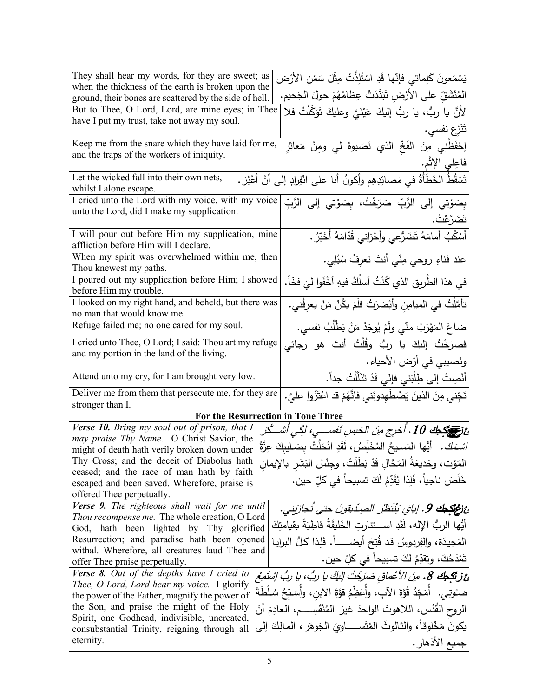| They shall hear my words, for they are sweet; as                                                            |  | يَسْمَعونَ كَلِماتي فإنّها قَدِ اسْتُلِذَّتْ مِثْلَ سَمْنِ الأَرْضِ                 |
|-------------------------------------------------------------------------------------------------------------|--|-------------------------------------------------------------------------------------|
| when the thickness of the earth is broken upon the                                                          |  | المُنْشَقِّ على الأَرْضِ تَبَدَّدَتْ عِظامُهُمْ حولَ الجَحيم.                       |
| ground, their bones are scattered by the side of hell.<br>But to Thee, O Lord, Lord, are mine eyes; in Thee |  |                                                                                     |
| have I put my trust, take not away my soul.                                                                 |  | لأنَّ يا ربُ، يا ربُّ إليكَ عَيْنَيَّ وعليكَ تَوَكَّلْتُ فلا                        |
|                                                                                                             |  | تَنْزِع نَفْسي.                                                                     |
| Keep me from the snare which they have laid for me,                                                         |  | إِحْفَظْنِي مِنَ الفَخِّ الذي نَصَبوهُ لي ومِنْ مَعاثِرِ                            |
| and the traps of the workers of iniquity.                                                                   |  | فاعِلي الإثْمِ.                                                                     |
| Let the wicked fall into their own nets,<br>whilst I alone escape.                                          |  | تَسْقُطُ الخَطَأَةُ في مَصائِدِهِم وأكونُ أنا على انْفِرادٍ إلى أنْ أعْبُرَ .       |
| I cried unto the Lord with my voice, with my voice                                                          |  | بِصَوْتِي إِلَى الرَّبِّ صَرَخْتُ، بِصَوْتي إِلى الرَّبِّ                           |
| unto the Lord, did I make my supplication.                                                                  |  | تَضَرَّعْتُ.                                                                        |
| I will pour out before Him my supplication, mine                                                            |  | أَسْكُبُ أَمامَهُ تَضَرُّعي وأَحْزاني قُدّامَهُ أَخَبِّرُ .                         |
| affliction before Him will I declare.                                                                       |  |                                                                                     |
| When my spirit was overwhelmed within me, then<br>Thou knewest my paths.                                    |  | عند فناءِ روحي مِنّي أنتَ تعرِفُ سُبُلِي.                                           |
| I poured out my supplication before Him; I showed                                                           |  | في هذا الطَّربِقِ الذي كُنْتُ أسلُكُ فيهِ أخْفَوا ليَ فخّاً.                        |
| before Him my trouble.                                                                                      |  |                                                                                     |
| I looked on my right hand, and beheld, but there was<br>no man that would know me.                          |  | تأمَّلْتُ في الميامِنِ وأَبْصَرْتُ فلَمْ يَكُنْ مَنْ يَعرِفُني.                     |
| Refuge failed me; no one cared for my soul.                                                                 |  | ضاعَ المَهْرَبُ مِنّي ولَمْ يُوجَدْ مَنْ يَطْلُبُ نفسي.                             |
| I cried unto Thee, O Lord; I said: Thou art my refuge                                                       |  | .<br>فصرَخْتُ إليكَ يا ربُّ وقُلْتُ أنتَ هو رجائ <i>ي</i>                           |
| and my portion in the land of the living.                                                                   |  |                                                                                     |
|                                                                                                             |  | ونَصيبي في أرْضِ الأحياء.                                                           |
| Attend unto my cry, for I am brought very low.                                                              |  | أَنْصِتْ إِلَى طِلْبَتي فإنّي قَدْ تَذَلَّلْتُ جداً.                                |
| Deliver me from them that persecute me, for they are<br>stronger than I.                                    |  | نَجِّني مِنَ الذينَ يَضْطَهِدونَني فإنَّهُمْ قد اعْتَزُّوا عليَّ.                   |
|                                                                                                             |  | For the Resurrection in Tone Three                                                  |
| Verse 10. Bring my soul out of prison, that I                                                               |  | اع في 10 أخرج منَ الحَبس نَفســـى، لكِي أَشـــكَر                                   |
| may praise Thy Name. O Christ Savior, the                                                                   |  | اسْمَكَ. أَيُّها المَسيحُ المُخَلِّصُ، لَقَدِ انْحَلَّتْ بِصَـليبِكَ عِزَّةُ        |
| might of death hath verily broken down under<br>Thy Cross; and the deceit of Diabolus hath                  |  |                                                                                     |
| ceased; and the race of man hath by faith                                                                   |  | المَوْت، وخديعَةُ المَحَّالِ قَدْ بَطَلَتْ، وجِنْسُ النَشَرِ بالإِيمانِ             |
| escaped and been saved. Wherefore, praise is                                                                |  | خَلَصَ ناجياً، فَلِذا يُقَدِّمُ لَكَ تسبيحاً في كلِّ حين.                           |
| offered Thee perpetually.                                                                                   |  |                                                                                     |
| <b>Verse 9.</b> The righteous shall wait for me until                                                       |  | ئ نظمك 9. إيايَ يَنْتَظِرُ الصِدّيقِونَ حتى تُجازَنني.                              |
| Thou recompense me. The whole creation, O Lord                                                              |  | أَيُّها الربُّ الإله، لَقَدِ اســـتنارتِ الخَليقَةُ قاطِبَةً بقيامتِكَ              |
| God, hath been lighted by Thy glorified<br>Resurrection; and paradise hath been opened                      |  | المَجيدَة، والفِردوسُ قد فُتِحَ أيضـــــــاً. فَلِذا كلُّ البرايـا                  |
| withal. Wherefore, all creatures laud Thee and                                                              |  |                                                                                     |
| offer Thee praise perpetually.                                                                              |  | تَمْدَحُكَ، وتقدِّمُ لَكَ تسبيحاً في كلِّ حين.                                      |
| Verse 8. Out of the depths have I cried to                                                                  |  | ع ز تكجك 8. مِنَ الأعْماق صَرَخْتُ اللَّكَ يا ربُّ، يا ربُّ إسْتَمْع                |
| Thee, O Lord, Lord hear my voice. I glorify                                                                 |  | صَـُوتِـى. ۚ أَمَجّدُ قُوَّةَ الآبِ، وأَعَظِّمُ قَوَّةَ الابنِ، وأَسَبّحُ سُـلْطَةَ |
| the power of the Father, magnify the power of<br>the Son, and praise the might of the Holy                  |  |                                                                                     |
| Spirit, one Godhead, indivisible, uncreated,                                                                |  | الروح الْقُدُس، اللاهوتَ الواحدَ غيرَ الْمُنْقَسِــــم، الـعادِمَ أَنْ              |
| consubstantial Trinity, reigning through all                                                                |  | يكونَ مَخْلوقاً، والثالوثَ المُتَســـــاويَ الجَوهَرِ ، المـالِكَ إلى               |
| eternity.                                                                                                   |  | جميع الأذهار .                                                                      |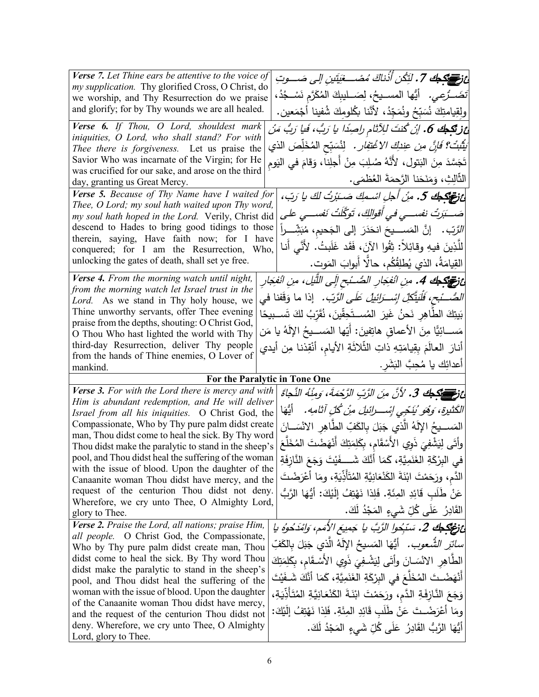| Verse 7. Let Thine ears be attentive to the voice of                                                          | عْ فَ <del>ِ مِنْ الْكُلُّهُ</del> 7 . لَتِكُنْ أَذْناكَ مُصْبِ فَيَتَينْ إِلَى صَبِ وَتِ          |
|---------------------------------------------------------------------------------------------------------------|----------------------------------------------------------------------------------------------------|
| my supplication. Thy glorified Cross, O Christ, do                                                            |                                                                                                    |
| we worship, and Thy Resurrection do we praise                                                                 | تَضَــرُّعِي. ۚ أَيُّها المســيحُ، لِصَــليبِكَ المُكَرَّمِ نَسْــجُدُ،                            |
| and glorify; for by Thy wounds we are all healed.                                                             | ولِقِيامتِكَ نُسَبِّحُ ونُمَجِّدُ، لأنَّنا بكُلومِكَ شُفينا أجْمَعين.                              |
| Verse 6. If Thou, O Lord, shouldest mark                                                                      | <b>اعزتكجك 6.</b> إنْ كُنتَ للِأَثَامِ راصِدًا يا رَبِّ، فَيا رَبِّ مَنْ                           |
| iniquities, O Lord, who shall stand? For with                                                                 | َيَثْبُتْ؟ فَ <i>إِنَّ مِن</i> عِنِد <i>ِكَ الا</i> ُغْت <i>ِفار .</i> لِنُسَبِّح المُخَلِّصَ الذي |
| Thee there is forgiveness. Let us praise the                                                                  |                                                                                                    |
| Savior Who was incarnate of the Virgin; for He<br>was crucified for our sake, and arose on the third          | تَجَسَّدَ مِنَ البَتولِ، لأَنَّهُ صُلِبَ مِنْ أَجلِنا، وَقامَ في اليَوم                            |
| day, granting us Great Mercy.                                                                                 | الثَّالِثِ، وَمَنَحَنا الرَّحمَةَ العُظمَى.                                                        |
| Verse 5. Because of Thy Name have I waited for                                                                | ع نقلكي 5. مِنْ أجلِ اسْمِكَ صَـبَرْتُ لكَ يا رَبّ،                                                |
| Thee, O Lord; my soul hath waited upon Thy word,                                                              |                                                                                                    |
| my soul hath hoped in the Lord. Verily, Christ did                                                            | صَـــبَرَتُ نفســـى فى أقوالكَ، تَوَكَّلْتُ نَفســـى علـى                                          |
| descend to Hades to bring good tidings to those                                                               | /لَرَّبّ.    إنَّ المَســــيحَ انحَذَرَ  إلى الجَحيم، مُبَشِّــــراً                               |
| therein, saying, Have faith now; for I have<br>conquered; for I am the Resurrection, Who,                     | للَّذِينَ فيهِ وقائِلاً: ثِقُوا الآنَ، فَقَد غَلَبتُ. لأنَّى أنـا                                  |
| unlocking the gates of death, shall set ye free.                                                              | القِيامَةُ، الذي يُطلِقُكُم، حالًا أبوابَ المَوتِ.                                                 |
| Verse 4. From the morning watch until night,                                                                  |                                                                                                    |
| from the morning watch let Israel trust in the                                                                | ئ قليكيك 4. منِ انْفِجارِ الصُّـْبح إِلَى اللَّيْلِ، منِ انْفِجارِ                                 |
| Lord. As we stand in Thy holy house, we                                                                       | <i>الصُّــْبحِ، فَلْيَتَّكِلْ إِسْــرَائِيلُ عَلَى الرَّبّ.</i> إذا ما وَقَفنا في                  |
| Thine unworthy servants, offer Thee evening                                                                   | بَيتِكَ الطَّاهِرِ. نَحنُ غَيرَ. المُســتَحِقّينَ، نُقَرّبُ لكَ تَســبيحًا                         |
| praise from the depths, shouting: O Christ God,                                                               |                                                                                                    |
| O Thou Who hast lighted the world with Thy                                                                    | مَســـائِيًّا مِنَ الأعماقِ هاتِفينَ: أَيّها المَســـيحُ الإِلَهُ يا مَن                           |
| third-day Resurrection, deliver Thy people                                                                    | أَنارَ العالَمَ بِقِيامَتِهِ ذاتِ الثَّلاثَةِ الأيام، أَنْقِذنا مِن أيدي                           |
|                                                                                                               |                                                                                                    |
| from the hands of Thine enemies, O Lover of                                                                   |                                                                                                    |
| mankind.                                                                                                      | أعدائِك يا مُحِبَّ البَشَرِ.                                                                       |
|                                                                                                               | For the Paralytic in Tone One                                                                      |
| Verse 3. For with the Lord there is mercy and with                                                            | ئ في السَّمَحِ هـ لأنَّ منَ الرَّبِّ الرَّحْمَةَ، وَمِنْهُ النَّجاةَ                               |
| Him is abundant redemption, and He will deliver                                                               |                                                                                                    |
| Israel from all his iniquities. O Christ God, the                                                             | الكَثيرةِ، وَهُوَ يُنَجِّي إِسْــرائِيلَ مِنْ كُلِّ آثامِهِ. ﴾ أَيُّهَا                            |
| Compassionate, Who by Thy pure palm didst create                                                              | المَســـيحُ الإِلَهُ الَّذي جَبَلَ بِالكَفِّ الطَّاهِرِ الانْسَـــانَ                              |
| man, Thou didst come to heal the sick. By Thy word                                                            | وأَتَى لِيَشْفِيَ ذَوِي الأَسْقَامِ، بِكَلِمَتِكَ أَنْهَضْتَ الْمُخَلَّعَ                          |
| Thou didst make the paralytic to stand in the sheep's<br>pool, and Thou didst heal the suffering of the woman |                                                                                                    |
| with the issue of blood. Upon the daughter of the                                                             | في البِرْكَةِ الغَنَمِيَّةِ، كَمَا أَنَّكَ شَـــفَيْتَ وَجَعَ النَّازِفَةِ                         |
| Canaanite woman Thou didst have mercy, and the                                                                | الدَّم، ورَحَمْتَ ابْنَةَ الكَنْعَانِيَّةِ المُتَأَذِّيَةِ، ومَا أَعْرَضْتَ                        |
| request of the centurion Thou didst not deny.                                                                 | عَنْ طَلَبٍ قَائِدِ الْمِئَةِ. فَلِذا نَهْتِفُ إِلَيْكَ: أَيُّهَا الرَّبُّ                         |
| Wherefore, we cry unto Thee, O Almighty Lord,                                                                 |                                                                                                    |
| glory to Thee.                                                                                                | القَادِرُ عَلَى كُلِّ شَيءٍ المَجْدُ لَكَ.                                                         |
| Verse 2. Praise the Lord, all nations; praise Him,                                                            | ئ في العند 2. سَبْحول الرَّبَّ يا جَمِيعَ الأَمَمِ، وَامْدَحُوهُ يا                                |
| all people. O Christ God, the Compassionate,                                                                  |                                                                                                    |
| Who by Thy pure palm didst create man, Thou                                                                   | <i>سائرَ الشُّعوب.</i> أَيُّهَا المَسيحُ الإِلَهُ الَّذِي جَبَلَ بِالكَفِّ                         |
| didst come to heal the sick. By Thy word Thou                                                                 | الطَّاهِرِ الانْسَـانَ وأتَى لِيَشْـفِيَ ذَوِي الأَسْـقَام، بِكَلِمَتِكَ                           |
| didst make the paralytic to stand in the sheep's<br>pool, and Thou didst heal the suffering of the            | أَنْهَضْـتَ المُخَلّعَ في البِرْكَةِ الغَنَمِيَّةِ، كَمَا أَنَّكَ شَـفَيْتَ                        |
| woman with the issue of blood. Upon the daughter                                                              |                                                                                                    |
| of the Canaanite woman Thou didst have mercy,                                                                 | وَجَعَ النَّارْفَةِ الدَّم، ورَحَمْتَ ابْنَةَ الكَنْعَانِيَّةِ المُتَأَذِّيَةِ،                    |
| and the request of the centurion Thou didst not                                                               | ومَا أَعْرَضْـتَ عَنْ طَلَبٍ قَائِدِ المِئَةِ. فَلِذا نَهْتِفُ إِلَيْكَ:                           |
| deny. Wherefore, we cry unto Thee, O Almighty<br>Lord, glory to Thee.                                         | أَيُّهَا الرَّبُّ الْقَادِرُ ۖ عَلَى كُلِّ شَيءٍ الْمَجْدُ لَكَ.                                   |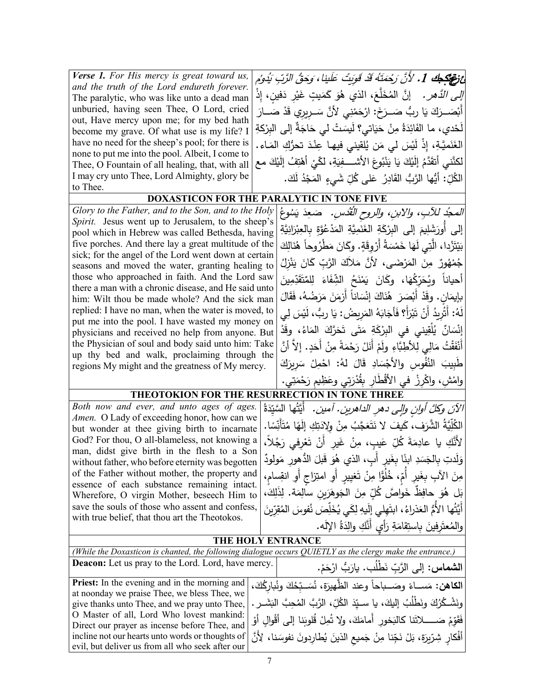| <b>Verse 1.</b> For His mercy is great toward us,                                                                                  | ئ قِ تَجْمَعُكَ 1. لأَنَّ رَجْمَتَهُ قَدْ قَوِيتُ عَلَينا، وَحَقُّ الزَّبِّ يَدُومُ    |  |
|------------------------------------------------------------------------------------------------------------------------------------|----------------------------------------------------------------------------------------|--|
| and the truth of the Lord endureth forever.                                                                                        | <i>إلى الدَّهر .</i> إنَّ المُخَلَّعَ، الذي هُوَ كَمَيتٍ غَيْرٍ دَفين، إِذْ            |  |
| The paralytic, who was like unto a dead man                                                                                        |                                                                                        |  |
| unburied, having seen Thee, O Lord, cried                                                                                          | أَبْصَــرَكَ يَا ربُّ صَــرَخَ: ارْحَمْنِي لأَنَّ سَــربِرِي قَدْ صَـــارَ             |  |
| out, Have mercy upon me; for my bed hath<br>become my grave. Of what use is my life? I                                             | لَحْدي، ما الفَائِدَةُ مِنْ حَيَاتي؟ لَيسَتْ لي حَاجَةٌ إلى البِرْكةِ                  |  |
| have no need for the sheep's pool; for there is                                                                                    |                                                                                        |  |
| none to put me into the pool. Albeit, I come to                                                                                    | الْغَنَميَّةِ، إِذْ لَيْسَ لي مَن يُلقيني فيهـا عِنْدَ تحرُّكِ المَـاء.                |  |
| Thee, O Fountain of all healing, that, with all                                                                                    | لكنَّني أَتقَدَّمُ إِلَيْكَ يَا يَنْبُوعَ الأَشْـــفِيَةِ، لكّيْ أَهْتِفُ إِلَيْكَ مع  |  |
| I may cry unto Thee, Lord Almighty, glory be                                                                                       | الكُلِّ: أَيُّها الرَّبُّ القَادِرُ عَلى كُلِّ شَيْءٍ المَجْدُ لَكَ.                   |  |
| to Thee.                                                                                                                           |                                                                                        |  |
|                                                                                                                                    | <b>DOXASTICON FOR THE PARALYTIC IN TONE FIVE</b>                                       |  |
| Glory to the Father, and to the Son, and to the Holy                                                                               | المجدُ للآبِ، والابنِ، والروحِ الْقُدُسِ.  صَعِدَ يَسُوعُ                              |  |
| Spirit. Jesus went up to Jerusalem, to the sheep's                                                                                 |                                                                                        |  |
| pool which in Hebrew was called Bethesda, having                                                                                   | إِلَى أُورَشَلِيمَ إِلَى الْبِرْكَةِ الْغَنَمِيَّةِ الْمَدْعُوَّةِ بِالْعِبْرَانِيَّةِ |  |
| five porches. And there lay a great multitude of the<br>بَيْتَزْدا، الَّتِي لَهَا خَمْسَةُ أَرْوِقَةٍ. وكَانَ مَطْرُوحاً هُنَالِكَ |                                                                                        |  |
| sick; for the angel of the Lord went down at certain                                                                               | جُمْهُورٌ مِنَ المَرْضَى، لأَنَّ مَلاَكَ الرَّبِّ كَانَ يَنْزِلُ                       |  |
| seasons and moved the water, granting healing to                                                                                   |                                                                                        |  |
| those who approached in faith. And the Lord saw<br>أَحياناً ويُحَرِّكُهَا، وكَانَ يَمْنَحُ الشِّفَاءَ لِلمُتَقَدِّمِينَ            |                                                                                        |  |
| there a man with a chronic disease, and He said unto<br>him: Wilt thou be made whole? And the sick man                             | بإِيمَانِ. وقَدْ أَبْصَرَ ۖ هُٰنَاكَ إِنْسَاناً أَزِمَنَ مَرَضُهُ، فَقَالَ             |  |
| replied: I have no man, when the water is moved, to                                                                                |                                                                                        |  |
| put me into the pool. I have wasted my money on                                                                                    | لَهُ: أَتُرِيدُ أَنْ تَبْرَأَ؟ فَأَجَابَهُ المَرِيضُ: يَا رِبٌّ، لَيْسَ لِي            |  |
| physicians and received no help from anyone. But                                                                                   | إِنْسَانٌ يُلْقِيني في البِرْكَةِ مَتَى تَحَرَّكَ المَاءُ، وقَدْ                       |  |
| the Physician of soul and body said unto him: Take                                                                                 | أَنْفَقْتُ مَالِي لِلأَطِبَّاءِ ولَمْ أَنَلْ رَحْمَةً مِنْ أَحَدٍ. إلاَّ أنَّ          |  |
| up thy bed and walk, proclaiming through the                                                                                       |                                                                                        |  |
| regions My might and the greatness of My mercy.                                                                                    | طَبِيبَ النُفُوسِ والأَجْسَادِ قَالَ لهُ: احْمِلْ سَرِيرَكَ                            |  |
|                                                                                                                                    | وامْشٍ، واكْرِزْ في الأَقْطَارِ بِقُدْرَتِي وعَظِيمٍ رَحْمَتِي.                        |  |
| THEOTOKION FOR THE RESURRECTION IN TONE THREE                                                                                      |                                                                                        |  |
| Both now and ever, and unto ages of ages.<br>الآنَ وكلَّ أوانِ وإلى دهرِ الداهرينِ. آمينِ. ۖ أَيَّتُها السَّيِّدَةُ                |                                                                                        |  |
| Amen. O Lady of exceeding honor, how can we                                                                                        |                                                                                        |  |
| but wonder at thee giving birth to incarnate                                                                                       | الكُلِّيَّةُ الشَّرَف، كَيفَ لا نَتَعَجَّبُ مِنْ ولِادَتِكِ إِلَهًا مُتَأَنِّسًا.      |  |
| God? For thou, O all-blameless, not knowing a<br>لأَنَّكِ يا عادِمَةَ كُلِّ عَيبٍ، مِنْ غَيرِ أَنْ تَعْرِفي رَجُلاً،               |                                                                                        |  |
| man, didst give birth in the flesh to a Son                                                                                        | وَلَدتِ بالجَسَدِ ابنًا بغَيرِ أَبٍ، الذي هُوَ قَبلَ الدُّهورِ مَولودٌ                 |  |
| without father, who before eternity was begotten                                                                                   |                                                                                        |  |
| of the Father without mother, the property and<br>essence of each substance remaining intact.                                      | مِنَ الآبِ بِغَيرِ أَمِّ، خُلُوًّا مِنْ تَغيِيرٍ أَوِ امتِزاجٍ أَوِ انقِسامٍ،          |  |
| Wherefore, O virgin Mother, beseech Him to                                                                                         | بَل هُوَ حافِظٌ خَواصَّ كُلِّ مِنَ الْجَوهَرَينِ سالِمَة. لِذَلِكَ،                    |  |
| save the souls of those who assent and confess,                                                                                    | أَيَّتُها الأُمُّ العَذراءُ ، ابتَهلي إِلَيهِ لِكَي يُخَلِّصَ نُفوسَ المُقِرِّينَ      |  |
| with true belief, that thou art the Theotokos.                                                                                     |                                                                                        |  |
|                                                                                                                                    | والمُعتَرِفينَ بـاستِقامَةِ رَأَى أَنَّكِ والِدَةُ الإِلَه.                            |  |
| <b>THE HOLY ENTRANCE</b>                                                                                                           |                                                                                        |  |
| (While the Doxasticon is chanted, the following dialogue occurs QUIETLY as the clergy make the entrance.)                          |                                                                                        |  |
| Deacon: Let us pray to the Lord. Lord, have mercy.<br>ا <b>لشماس:</b> إلى الرَّبِّ نَطْلَبٍ. يارَبُّ ارْحَمْ.                      |                                                                                        |  |
| Priest: In the evening and in the morning and                                                                                      | الكاهن: مَســاءً وصَـــباحاً وعند الظَّهيرَة، نُسَــبّحُكَ ونُباركُكَ،                 |  |
| at noonday we praise Thee, we bless Thee, we                                                                                       | ونَشْـكُرُكَ ونَطْلُبُ إليكَ، يا سـيّدَ الكُلِّ، الرَّبَّ المُحِبَّ البَشَــرِ .       |  |
| give thanks unto Thee, and we pray unto Thee,<br>O Master of all, Lord Who lovest mankind:                                         |                                                                                        |  |
| Direct our prayer as incense before Thee, and                                                                                      | فَقَوّمْ صَــــــلاتَنا كالبَخور ۖ أمامَكَ، ولا تُمِلْ قُلوبَنا إلى أقْوالِ أَوْ       |  |
|                                                                                                                                    |                                                                                        |  |
| incline not our hearts unto words or thoughts of                                                                                   | أَفْكارِ شِرّيزَة، بَلْ نَجِّنا مِنْ جَميعِ الذينَ يُطارِدونَ نفوسَنا، لِأَنَّ         |  |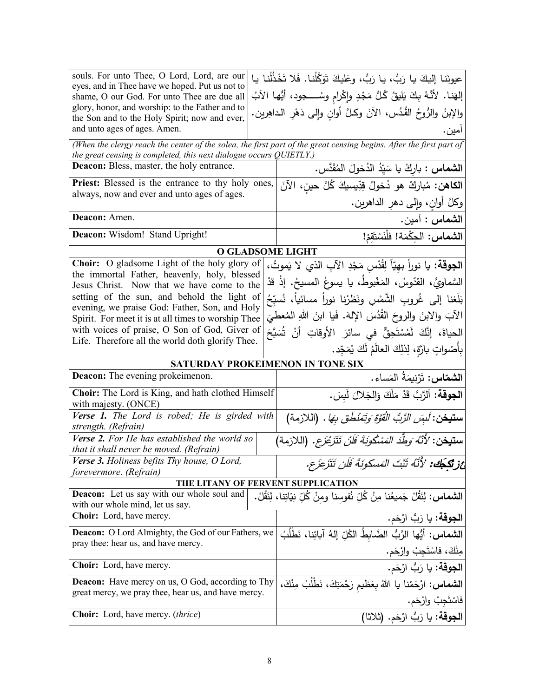| souls. For unto Thee, O Lord, Lord, are our                                                                             | عيونَنا إليكَ يا رَبُّ، يا رَبُّ، وعَليكَ تَوَكَّلْنا. فَلا تَخْذُلْنا يا            |  |
|-------------------------------------------------------------------------------------------------------------------------|--------------------------------------------------------------------------------------|--|
| eyes, and in Thee have we hoped. Put us not to                                                                          |                                                                                      |  |
| shame, O our God. For unto Thee are due all<br>glory, honor, and worship: to the Father and to                          | إلهَنـا. لأنَّـهُ بِكَ يَليقُ كُلُّ مَجْدٍ وإِكْرامٍ وسُــــــجود، أَيُّها الآبُ     |  |
| the Son and to the Holy Spirit; now and ever,                                                                           | والإبنُ والرُّوحُ القُدُس، الآنَ وكـلَّ أوانِ وإلى دَهْرِ الـداهِرين.                |  |
| and unto ages of ages. Amen.                                                                                            | امين .                                                                               |  |
| (When the clergy reach the center of the solea, the first part of the great censing begins. After the first part of     |                                                                                      |  |
| the great censing is completed, this next dialogue occurs QUIETLY.)<br><b>Deacon:</b> Bless, master, the holy entrance. |                                                                                      |  |
|                                                                                                                         | ا <b>لشماس :</b> بارِكْ يا سَيِّدُ الدُخولَ المُقَدَّس.                              |  |
| Priest: Blessed is the entrance to thy holy ones,<br>always, now and ever and unto ages of ages.                        | ا <b>لكاهن:</b> مُباركٌ هو دُخولُ قِدِّيسيكَ كُلَّ حينِ، الآنَ                       |  |
|                                                                                                                         | وكلَّ أوانِ، وإلى دهرِ الداهرين.                                                     |  |
| Deacon: Amen.                                                                                                           | الشماس : آمين.                                                                       |  |
| Deacon: Wisdom! Stand Upright!                                                                                          | الشماس: الحكْمَة! فلْنَسْتَقِمْ!                                                     |  |
| <b>O GLADSOME LIGHT</b>                                                                                                 |                                                                                      |  |
| Choir: O gladsome Light of the holy glory of                                                                            | ا <b>لجوقة:</b> يا نوراً بهِيّاً لِقُدْس مَجْدِ الآبِ الذي لا يَموتُ،                |  |
| the immortal Father, heavenly, holy, blessed                                                                            | السَّماويُّ، القدّوسُ، المَغْبوطُ، يا يسوعُ المسيحُ. إذْ قدْ                         |  |
| Jesus Christ. Now that we have come to the<br>setting of the sun, and behold the light of                               |                                                                                      |  |
| evening, we praise God: Father, Son, and Holy                                                                           | بَلَغنا إلى غُروبِ الشَّمْسِ ونَظرْنا نوراً مسائياً، نُسبِّحُ                        |  |
| Spirit. For meet it is at all times to worship Thee                                                                     | الآبَ والابنَ والروحَ القُدُسَ اﻹلهَ. فَيا ابنَ اللهِ المُعطيَ                       |  |
| with voices of praise, O Son of God, Giver of                                                                           | الحياةَ، إنَّكَ لَمُسْتَحِقٌّ في سائرَ الأوقاتِ أنْ شُبَبِّحَ                        |  |
| Life. Therefore all the world doth glorify Thee.                                                                        | بِأَصْواتٍ بِارَّةٍ، لِذَلِكَ العالَمُ لَكَ يُمَجِّد.                                |  |
| SATURDAY PROKEIMENON IN TONE SIX                                                                                        |                                                                                      |  |
|                                                                                                                         |                                                                                      |  |
| <b>Deacon:</b> The evening prokeimenon.                                                                                 | ا <b>لشمّاس:</b> تَرْنِيمَةُ المَساء.                                                |  |
| Choir: The Lord is King, and hath clothed Himself                                                                       |                                                                                      |  |
| with majesty. (ONCE)                                                                                                    | ا <b>لجوقة:</b> اَلرَّبُّ قَدْ مَلَكَ وَالجَلالَ لَبِسَ.                             |  |
| Verse 1. The Lord is robed; He is girded with                                                                           | <b>ستيخن:</b> لَب <i>سَ الرَّبُّ الْقُوَّةَ وَتَمْنُطَقَ بِهَا</i> .  (اللازمة)      |  |
| strength. (Refrain)                                                                                                     |                                                                                      |  |
| Verse 2. For He has established the world so<br>that it shall never be moved. (Refrain)                                 | <b>ستيخن</b> : <i>'لأَنَّهُ وَطُّدَ المَسْكُونَةَ فَلَنْ تَتَزَعْزَع</i> . (اللازمة) |  |
| Verse 3. Holiness befits Thy house, O Lord,                                                                             |                                                                                      |  |
| forevermore. (Refrain)                                                                                                  | عْزِيْكِجُكْ: لأَنَّهُ ثَبَّتَ المَسكونَةَ فَلَن تَتَزَعَزَع.                        |  |
| THE LITANY OF FERVENT SUPPLICATION                                                                                      |                                                                                      |  |
| Deacon: Let us say with our whole soul and<br>with our whole mind, let us say.                                          | ا <b>لشماس:</b> لِنَقُلْ جَميعُنا مِنُ كُلِّ نُفوسنا ومنْ كُلِّ نِيَاتِنا، لِنَقُلْ. |  |
| Choir: Lord, have mercy.                                                                                                | ا <b>لجوقة:</b> يا رَبُّ ارْحَم.                                                     |  |
| <b>Deacon:</b> O Lord Almighty, the God of our Fathers, we                                                              |                                                                                      |  |
| pray thee: hear us, and have mercy.                                                                                     | الشماس: أيُّها الرَّبُّ الضَّابِطَ الكُلِّ إلهُ آبائِنا، نَطْلُبُ                    |  |
| Choir: Lord, have mercy.                                                                                                |                                                                                      |  |
| <b>Deacon:</b> Have mercy on us, O God, according to Thy                                                                | مِنْكَ، فاسْتَجِبْ وارْحَم.<br>ا <b>لجوقة</b> : يا رَبُّ ارْحَم.                     |  |
| great mercy, we pray thee, hear us, and have mercy.                                                                     | ا <b>لشماس:</b> ارْحَمْنا يا اللهُ بِعَظيم رَحْمَتِكَ، نَطْلُبُ مِنْكَ،              |  |
| Choir: Lord, have mercy. (thrice)                                                                                       | فاسْتَجِبْ وارْحَم.<br>ا <b>لجوقة:</b> يا رَبُّ ارْحَم. (تْلاثا)                     |  |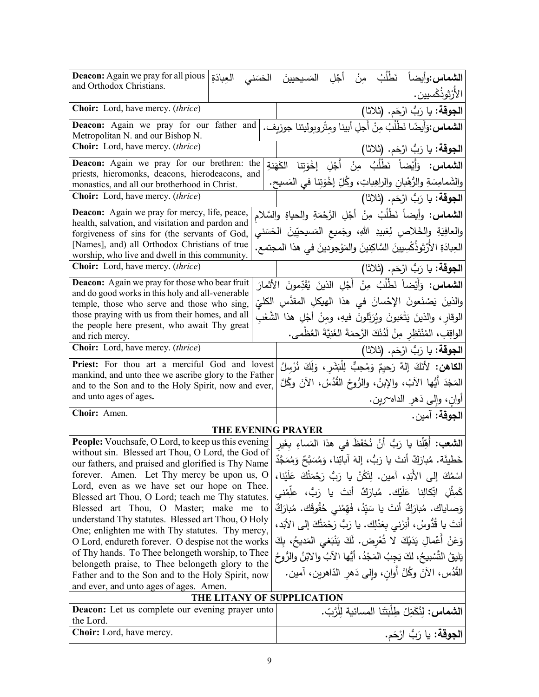| <b>Deacon:</b> Again we pray for all pious<br>and Orthodox Christians.                                                | ا <b>لشماس:</b> وأيضاً نَطْلُبُ مِنْ أَجْلِ المَسيحيينَ الحَسَني العِبادَةِ |  |
|-----------------------------------------------------------------------------------------------------------------------|-----------------------------------------------------------------------------|--|
| Choir: Lord, have mercy. (thrice)                                                                                     | الأُرْثوذُكْسيين.                                                           |  |
|                                                                                                                       | الجوقة: يا رَبُ ارْحَم. (ثلاثا)                                             |  |
| Deacon: Again we pray for our father and<br>Metropolitan N. and our Bishop N.                                         | ا <b>لشماس:</b> وَأَيضَا نَطْلُبُ مِنْ أَجلِ أبينا ومِتْروبوليتنا جوزيف.    |  |
| Choir: Lord, have mercy. (thrice)                                                                                     | ا <b>لجوقة:</b> يا رَبُّ ارْحَم. (ثلاثا)                                    |  |
| Deacon: Again we pray for our brethren: the                                                                           | ا <b>لشماس:</b> وَأَيْضاً نَطْلُبُ مِنْ أَجْلِ إخْوَتنا الكَهَنةِ           |  |
| priests, hieromonks, deacons, hierodeacons, and<br>monastics, and all our brotherhood in Christ.                      | والشَمامِسَةِ والرُّهْبانِ والراهِباتِ، وكُلِّ إخْوَتِنا في المَسيحِ.       |  |
| <b>Choir:</b> Lord, have mercy. <i>(thrice)</i>                                                                       | الجوقة: يا رَبُّ ارْحَم. (ثلاثا)                                            |  |
| <b>Deacon:</b> Again we pray for mercy, life, peace,                                                                  | الشماس: وأيضاً نَطْلُبُ مِنْ أَجْلِ الرَّحْمَةِ والحياةِ والسَّلام          |  |
| health, salvation, and visitation and pardon and                                                                      | والعافِيَةِ والخَلاصِ لِعَبيدِ اللهِ، وجَميعِ المَسيحيِّينَ الحَسَني        |  |
| forgiveness of sins for (the servants of God,<br>[Names], and) all Orthodox Christians of true                        |                                                                             |  |
| worship, who live and dwell in this community.                                                                        | العِبادَةِ الأَرْثوذُكْسِيينَ السَّاكِنينَ والمَوْجودينَ في هذا المجتمع.    |  |
| <b>Choir:</b> Lord, have mercy. <i>(thrice)</i>                                                                       | ا <b>لجوقة:</b> يا رَبُّ ارْحَم. (ثلاثا)                                    |  |
| <b>Deacon:</b> Again we pray for those who bear fruit                                                                 | <b>الشماس:</b> وَأَيْضاً نَطْلُبُ مِنْ أَجْلِ الذينَ يُقَدِّمونَ الأَثمارَ  |  |
| and do good works in this holy and all-venerable<br>temple, those who serve and those who sing,                       | والذينَ يَصْنَعونَ الإِحْسانَ في هذا الهيكلِ المقدَّسِ الكليِّ              |  |
| those praying with us from their homes, and all                                                                       | الوقار ، والذينَ يَتْعَبونَ ويُرَتِّلونَ فيهِ، ومِنْ أَجْلِ هذا الشَّعْبِ   |  |
| the people here present, who await Thy great                                                                          |                                                                             |  |
| and rich mercy.                                                                                                       | الواقِفِ، المُنْتَظِرِ مِنْ لَدُنْكَ الرَّحمَةَ الغَنِيَّةَ العُظْمى.       |  |
| Choir: Lord, have mercy. (thrice)                                                                                     | ا <b>لجوقة:</b> يا رَبُّ ارْحَم. (ثلاثا)                                    |  |
| Priest: For thou art a merciful God and lovest                                                                        | ا <b>لكاهن:</b> لأَنَكَ إِلهٌ رَحيمٌ وَمُحِبٌّ لِلْبَشَرِ ، وَلَكَ نُرْسِلُ |  |
| mankind, and unto thee we ascribe glory to the Father<br>and to the Son and to the Holy Spirit, now and ever,         | المَجْدَ أَيُّها الآبُ، والإبنُ، والرُّوحُ القُدُسُ، الآنَ وكُلَّ           |  |
| and unto ages of ages.                                                                                                | أوانِ، وإلى دَهرِ الداه~رين.                                                |  |
| Choir: Amen.                                                                                                          | الجوقة: آمين.                                                               |  |
| <b>THE EVENING PRAYER</b>                                                                                             |                                                                             |  |
| People: Vouchsafe, O Lord, to keep us this evening                                                                    | ا <b>لشعب:</b> أَهِّلْنا يا رَبُّ أنْ نُحْفَظَ في هذا المَساءِ بِغَيرِ      |  |
| without sin. Blessed art Thou, O Lord, the God of                                                                     | خَطيئَة. مُبارَكٌ أَنتَ يا رَبُّ، إلهَ آبائِنا، وَمُسَبَّحٌ وَمُمَجَّدٌ     |  |
| our fathers, and praised and glorified is Thy Name<br>forever. Amen. Let Thy mercy be upon us, O                      | اسْمُكَ إِلَى الأَبَدِ، آمين. لِتَكُنْ يا رَبُّ رَحْمَتُكَ عَلَيْنا،        |  |
| Lord, even as we have set our hope on Thee.                                                                           |                                                                             |  |
| Blessed art Thou, O Lord; teach me Thy statutes.                                                                      | كَمِثْلِ اتِّكالِنا عَلَيْك. مُبارَكٌ أنتَ يا رَبُّ، علِّمْنـى              |  |
| Blessed art Thou, O Master; make me to                                                                                | وَصاياك. مُبارَكٌ أنتَ يا سَيّدُ، فَهّمْني حُقُوقَك. مُبارَكٌ               |  |
| understand Thy statutes. Blessed art Thou, O Holy                                                                     | أنتَ يا قُدُّوسُ، أَنِرْنِي بِعَدْلِك. يا رَبُّ رَحْمَتُكَ إلى الأَبَد،     |  |
| One; enlighten me with Thy statutes. Thy mercy,<br>O Lord, endureth forever. O despise not the works                  | وَعَنْ أَعْمالِ يَدَيْكَ لا تُعْرِض. لَكَ يَنْبَغي المَديحُ، بِكَ           |  |
| of Thy hands. To Thee belongeth worship, to Thee                                                                      | يَليقُ التَّسْبِيحُ، لكَ يَجِبُ المَجْدُ، أَيُّها الآبُ والابْنُ والرُّوحُ  |  |
| belongeth praise, to Thee belongeth glory to the                                                                      |                                                                             |  |
| Father and to the Son and to the Holy Spirit, now                                                                     | القُدُس، الآنَ وكُلَّ أُوان، وإلى دَهر الدّاهرين، آمين.                     |  |
| and ever, and unto ages of ages. Amen.<br>THE LITANY OF SUPPLICATION                                                  |                                                                             |  |
| ا <b>لشماس:</b> لِنُكَمِّلْ طِلْبَتَنا المسائية لِلْرَّبِّ.<br><b>Deacon:</b> Let us complete our evening prayer unto |                                                                             |  |
| the Lord.                                                                                                             |                                                                             |  |
| Choir: Lord, have mercy.                                                                                              | الجوقة: يا رَبُّ ارْحَم.                                                    |  |
|                                                                                                                       |                                                                             |  |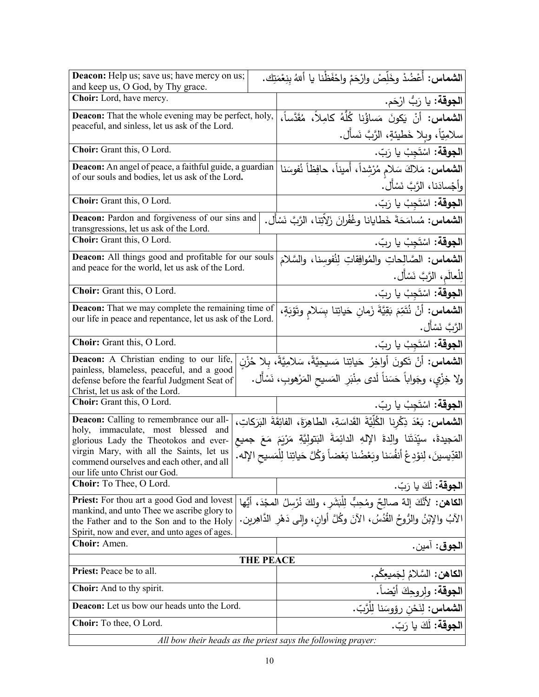| <b>Deacon:</b> Help us; save us; have mercy on us;<br>and keep us, O God, by Thy grace.                                        |  | ا <b>لشماس:</b> أَعْضُدْ وخَلِّصْ وارْحَمْ واحْفَظْنا يا أللهُ بِنِعْمَتِك.            |
|--------------------------------------------------------------------------------------------------------------------------------|--|----------------------------------------------------------------------------------------|
| Choir: Lord, have mercy.                                                                                                       |  | ا <b>لجوقة:</b> يا رَبُّ ارْحَم.                                                       |
| <b>Deacon:</b> That the whole evening may be perfect, holy,                                                                    |  | ا <b>لشماس:</b> أَنْ يَكونَ مَساؤُنا كُلُّهُ كامِلاً، مُقَدَّساً،                      |
| peaceful, and sinless, let us ask of the Lord.                                                                                 |  | سلامِيّاً، وبلا خَطيئةٍ، الرَّبَّ نَسأَل.                                              |
| Choir: Grant this, O Lord.                                                                                                     |  | ا <b>لجوقة:</b> اسْتَجِبْ يا رَبّ.                                                     |
| Deacon: An angel of peace, a faithful guide, a guardian                                                                        |  | <b>الشماس:</b> مَلاكَ سَلامٍ مُرْشِداً، أَميناً، حافِظاً نُفوسَنا                      |
| of our souls and bodies, let us ask of the Lord.                                                                               |  | وأجْسادَنا، الرَّبَّ نَسْأَل.                                                          |
| Choir: Grant this, O Lord.                                                                                                     |  | <b>الجوقة:</b> اسْتَجِبْ يا رَبّ.                                                      |
| <b>Deacon:</b> Pardon and forgiveness of our sins and<br>transgressions, let us ask of the Lord.                               |  | ا <b>لشماس:</b> مُسامَحَةَ خَطايانا وغُفْرانَ زَلاّتِنا، الرَّبَّ نَسْأَل.             |
| Choir: Grant this, O Lord.                                                                                                     |  | ا <b>لجوقة:</b> اسْتَجِبْ يا ربّ.                                                      |
| Deacon: All things good and profitable for our souls                                                                           |  | الشماس: الصَّالِحاتِ والمُوافِقاتِ لِنُفوسنا، والسَّلامَ                               |
| and peace for the world, let us ask of the Lord.                                                                               |  | لِلْعالَم، الرَّبَّ نَسْأَل.                                                           |
| <b>Choir:</b> Grant this, O Lord.                                                                                              |  | ا <b>لجوقة:</b> اسْتَجِبْ يا ربّ.                                                      |
| <b>Deacon:</b> That we may complete the remaining time of                                                                      |  | الشماس: أَنْ نُتَمِّمَ بَقِيَّةَ زَمانِ حَياتِنا بِسَلامٍ وتَوْبَةٍ،                   |
| our life in peace and repentance, let us ask of the Lord.                                                                      |  | الرَّبَّ نَسْأَل.                                                                      |
| Choir: Grant this, O Lord.                                                                                                     |  | <b>الجوقة:</b> اسْتَجِبْ يا ربّ.                                                       |
| <b>Deacon:</b> A Christian ending to our life,                                                                                 |  |                                                                                        |
| ا <b>لشماس:</b> أنْ تَكونَ أواخِرُ حَياتِنا مَسيحِيَّةً، سَلامِيَّةً، بِلا حُزْنِ<br>painless, blameless, peaceful, and a good |  |                                                                                        |
| defense before the fearful Judgment Seat of                                                                                    |  | ولا خِزْيٍ، وجَواباً حَسَناً لَدى مِنْبَرِ  المَسيح المَرْهوبِ، نَسْأَل.               |
| Christ, let us ask of the Lord.                                                                                                |  |                                                                                        |
| Choir: Grant this, O Lord.                                                                                                     |  | ا <b>لجوقة</b> : اسْتَجِبْ يا ربّ.                                                     |
| <b>Deacon:</b> Calling to remembrance our all-<br>holy, immaculate, most blessed and                                           |  | الشماس: بَعْدَ ذِكْرِنا الطُّلِّيَّةَ القَداسَةِ، الطاهِرَةَ، الفائِقَةَ البَرَكاتِ،   |
| glorious Lady the Theotokos and ever-                                                                                          |  | المَجيدةَ، سيِّدَتَنا والِدةَ الإِلهِ الدائِمَةَ البَتولِيَّةِ مَرْيَمَ مَعَ جميع      |
| virgin Mary, with all the Saints, let us<br>commend ourselves and each other, and all                                          |  | القدِّيسينَ، لِنوْدِعْ أَنفُسَنا وبَعْضُنا بَعْضاً وَكُلَّ حَياتِنا لِلْمَسيحِ الإِله. |
| our life unto Christ our God.                                                                                                  |  |                                                                                        |
| Choir: To Thee, O Lord.                                                                                                        |  | ا <b>لجوقة:</b> لَكَ يا رَبّ.                                                          |
| Priest: For thou art a good God and lovest                                                                                     |  | الكاهن: لأنَّكَ إلهٌ صالِحٌ ومُحِبٌّ لِلْبَشَرِ ، ولكَ نُرْسِلُ المجْدَ، أَيُّها       |
| mankind, and unto Thee we ascribe glory to<br>the Father and to the Son and to the Holy                                        |  | الآبُ والإبْنُ والرُّوحُ القُدُسُ، الآنَ وكُلَّ أوانِ، وإلى دَهْرِ الدَّاهِرين.        |
| Spirit, now and ever, and unto ages of ages.                                                                                   |  |                                                                                        |
| Choir: Amen.                                                                                                                   |  | ا <b>لجوق</b> : امين.                                                                  |
| <b>THE PEACE</b>                                                                                                               |  |                                                                                        |
| Priest: Peace be to all.                                                                                                       |  | ا <b>لكاهن:</b> السَّلامُ لِجَميعِكم.                                                  |
| Choir: And to thy spirit.                                                                                                      |  | ا <b>لجوقة</b> : ولروحِكَ أيْض                                                         |
| Deacon: Let us bow our heads unto the Lord.                                                                                    |  | ل <b>شماس:</b> لِنَحْن رؤوسَنا لِلْرَّبّ.                                              |
| Choir: To thee, O Lord.                                                                                                        |  | ا <b>لجوقة:</b> لكَ يا رَبّ.                                                           |
|                                                                                                                                |  | All bow their heads as the priest says the following prayer:                           |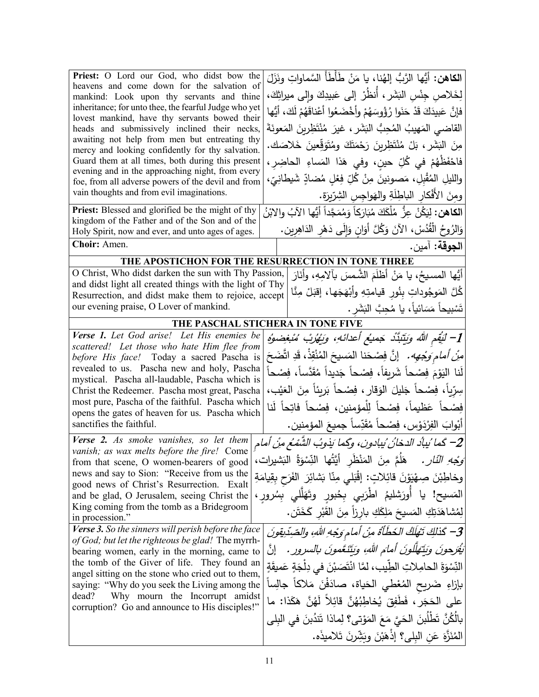| Priest: O Lord our God, who didst bow the<br>heavens and come down for the salvation of<br>mankind: Look upon thy servants and thine<br>inheritance; for unto thee, the fearful Judge who yet<br>lovest mankind, have thy servants bowed their<br>heads and submissively inclined their necks,<br>awaiting not help from men but entreating thy<br>mercy and looking confidently for thy salvation.<br>Guard them at all times, both during this present<br>evening and in the approaching night, from every<br>foe, from all adverse powers of the devil and from<br>vain thoughts and from evil imaginations.<br>Priest: Blessed and glorified be the might of thy                                                                                       | ا <b>لكاهن:</b> أيُّها الرَّبُّ إلهُنا، يا مَنْ طَأَطَأَ السَّماواتِ ونَزَلَ<br>لِخَلاص جِنْس البَشَر ، أَنظُرْ إلى عَبيدِكَ وإلى ميراثِكَ،<br>فإِنَّ عَبِيدَكَ قَدْ حَنَوا رُؤُوسَهُمْ وأَخْضَعُوا أَعْناقَهُمْ لَكَ، أَيُّها<br>القاضي المَهيبُ المُحِبُّ الْبَشَرِ ، غيرَ مُنْتَظِرِينَ المَعونَةَ<br>مِنَ البَشَرِ ، بَلْ مُنْتَظِرِينَ رَحْمَتَكَ وِمُتَوَقِّعِينَ خَلاصَك.<br>فاحْفَظْهُمْ في كُلِّ حين، وفي هَذا المَساءِ الحاضِرِ،<br>والليلِ المُقْبِلِ، مَصونينَ مِنْ كُلِّ فِعْلِ مُضادٍّ شَيطانِيّ،<br>ومِنَ الأَفْكَارِ الْبَاطِلَةِ والْهَواجِسِ الشِّرْيِرَةِ.<br>ا <b>لكاهن:</b> لِيَكُنْ عِزٌ مُلْكَكَ مُبَارَكاً وَمُمَجَّداً أَيُّها الآبُ والابْنُ                                                                                                                                                                                                                             |
|------------------------------------------------------------------------------------------------------------------------------------------------------------------------------------------------------------------------------------------------------------------------------------------------------------------------------------------------------------------------------------------------------------------------------------------------------------------------------------------------------------------------------------------------------------------------------------------------------------------------------------------------------------------------------------------------------------------------------------------------------------|----------------------------------------------------------------------------------------------------------------------------------------------------------------------------------------------------------------------------------------------------------------------------------------------------------------------------------------------------------------------------------------------------------------------------------------------------------------------------------------------------------------------------------------------------------------------------------------------------------------------------------------------------------------------------------------------------------------------------------------------------------------------------------------------------------------------------------------------------------------------------------------------------|
| kingdom of the Father and of the Son and of the<br>Holy Spirit, now and ever, and unto ages of ages.                                                                                                                                                                                                                                                                                                                                                                                                                                                                                                                                                                                                                                                       | وَالرُوحُ الْقُدُسْ، الآنَ وَكُلَّ أَوَانِ وَإِلَى دَهْرِ الدَاهِرِينِ.                                                                                                                                                                                                                                                                                                                                                                                                                                                                                                                                                                                                                                                                                                                                                                                                                            |
| Choir: Amen.                                                                                                                                                                                                                                                                                                                                                                                                                                                                                                                                                                                                                                                                                                                                               | ا <b>لجوقة:</b> آمين.                                                                                                                                                                                                                                                                                                                                                                                                                                                                                                                                                                                                                                                                                                                                                                                                                                                                              |
|                                                                                                                                                                                                                                                                                                                                                                                                                                                                                                                                                                                                                                                                                                                                                            | THE APOSTICHON FOR THE RESURRECTION IN TONE THREE                                                                                                                                                                                                                                                                                                                                                                                                                                                                                                                                                                                                                                                                                                                                                                                                                                                  |
| O Christ, Who didst darken the sun with Thy Passion,<br>and didst light all created things with the light of Thy<br>Resurrection, and didst make them to rejoice, accept<br>our evening praise, O Lover of mankind.                                                                                                                                                                                                                                                                                                                                                                                                                                                                                                                                        | أَيُّها المسيحُ، يا مَنْ أَظَلَمَ الشَّمسَ بآلامِهِ، وأَنَارَ<br>كُلَّ المَوجُوداتِ بِنُورِ قيامتِهِ وأَبْهَجَها، إقبَلْ مِنَّا<br>تَسْبِيحاً مَسَائِياً، يا مُحِبَّ النَشَرِ .                                                                                                                                                                                                                                                                                                                                                                                                                                                                                                                                                                                                                                                                                                                    |
|                                                                                                                                                                                                                                                                                                                                                                                                                                                                                                                                                                                                                                                                                                                                                            | THE PASCHAL STICHERA IN TONE FIVE                                                                                                                                                                                                                                                                                                                                                                                                                                                                                                                                                                                                                                                                                                                                                                                                                                                                  |
| Verse 1. Let God arise! Let His enemies be<br>scattered! Let those who hate Him flee from<br>before His face! Today a sacred Pascha is<br>revealed to us. Pascha new and holy, Pascha<br>mystical. Pascha all-laudable, Pascha which is<br>Christ the Redeemer. Pascha most great, Pascha<br>most pure, Pascha of the faithful. Pascha which<br>opens the gates of heaven for us. Pascha which<br>sanctifies the faithful.                                                                                                                                                                                                                                                                                                                                 | 1– لَيُقِم اللهُ وَيَتَبَدَّدُ جَميعُ أعدائهِ، وَيَهُرُبْ مُبْغِضوهُ<br>م <i>ِنْ أمام وَجْهِه.</i> إنَّ فِصْحَنا المَسيحَ المُنْقِذْ، قَدِ اتَّضَحَ<br>لَنا اليَوْمَ فِصْحاً شَرِيفاً، فِصْحاً جَديداً مُقَدَّساً، فِصْحاً<br>سِرِّياً، فِصْحاً جَليلَ الوَقارِ ، فِصْحاً بَرِيئاً مِنَ العَيْبِ،<br>فِصْحاً عَظيماً، فِصْحاً لِلْمؤمنين، فِصْحاً فاتِحاً لَنا<br>أَبْوابَ الفِرْدَوْسِ، فِصْحاً مُقَدِّساً جميعَ المؤمنين.                                                                                                                                                                                                                                                                                                                                                                                                                                                                        |
| Verse 2. As smoke vanishes, so let them<br>vanish; as wax melts before the fire! Come<br>from that scene, O women-bearers of good<br>news and say to Sion: "Receive from us the<br>good news of Christ's Resurrection. Exalt<br>and be glad, O Jerusalem, seeing Christ the<br>King coming from the tomb as a Bridegroom<br>in procession."<br>Verse 3. So the sinners will perish before the face<br>of God; but let the righteous be glad! The myrrh-<br>bearing women, early in the morning, came to<br>the tomb of the Giver of life. They found an<br>angel sitting on the stone who cried out to them,<br>saying: "Why do you seek the Living among the<br>Why mourn the Incorrupt amidst<br>dead?<br>corruption? Go and announce to His disciples!" | 2– كما ُيباُد الدخانُ يُبادونِ، وكما يَذوبُ الشَّمْعُ مِنْ أمام<br><i>وَجْهِ النّارِ .</i> هَلَمَّ مِنَ المَنْظُرِ أَيَّتُها النِّسْوَةُ البَشْيرات،<br>وخاطِبْنَ صِهْيَوْنَ قَائِلاتٍ: إِقْبَلي مِنّا بَشَائِرَ الفَرَحِ بِقِيامَةِ<br>المَسيح! يا أورَشليمُ اطْرَبي بِحُبورِ وتَهَلَلي بِسُرورٍ ،<br>لِمُشاهَدَتِكِ المَسيحَ مَلِكَكِ بارزاً مِنَ القَبْرِ كَخَتَنٍ.<br>3– كَذَلِكَ تَهْلَكُ الْخَطَأَةُ مِنْ أمام َوِجْهِ اللهِ، والصّرّبِقِونَ<br>تِقْرَحُونَ وَنَتَهَلَّلُونَ أَمِلَمَ اللَّهِ، وَنَتَنَعَّمُونَ بِالسَّرُورِ . [نَّ<br>النِّسْوَةَ الحامِلاتِ الطِّيبِ، لمَّا انْتَصَبْنَ في دِلْجَةٍ عَميقَةٍ<br>بإزاءِ ضَريح المُعْطي الحَياة، صادَفْنَ مَلاكاً جالِساً<br>على الْحَجَرِ ، فَطَٰفِقَ يُخاطِبُهُنَّ قَائِلاً لَهُنَّ هَكَذَا: ما<br>بالْكُنَّ تَطْلُبنَ الحَيَّ مَعَ المَوْتى؟ لِماذا تَنذُبنَ في البِلى<br>المُنَزَّةِ عَنِ الْبِلِّي؟ إِذْهَبْنَ وِبَشِّرِنَ تَلاَمِيذَه. |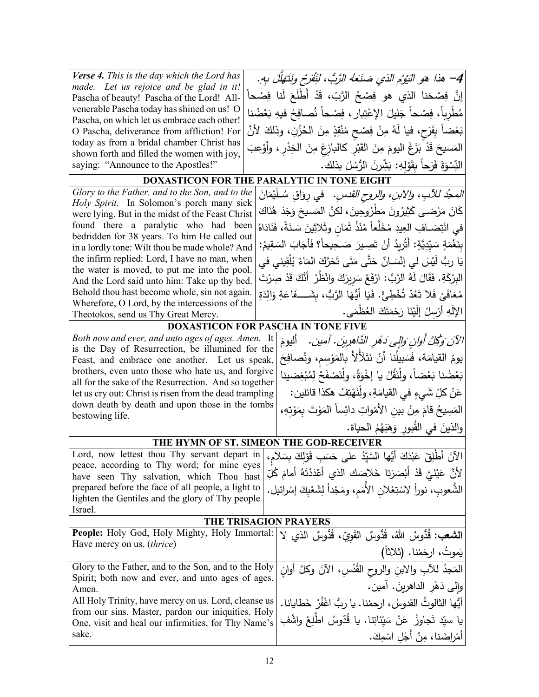| Verse 4. This is the day which the Lord has                                                                          | 4– هذا هو النِّوُم الذي صَنَعَهُ الرَّبُّ، لَنْفَرَحْ وِنَتَهَلَّلْ بِهِ.                          |  |
|----------------------------------------------------------------------------------------------------------------------|----------------------------------------------------------------------------------------------------|--|
| made. Let us rejoice and be glad in it!                                                                              | إنَّ فِصْحَنا الذي هو فِصْحُ الرَّبّ، قَدْ أَطْلَعَ لَنا فِصْحاً                                   |  |
| Pascha of beauty! Pascha of the Lord! All-<br>venerable Pascha today has shined on us! O                             |                                                                                                    |  |
| Pascha, on which let us embrace each other!                                                                          | مُطْرِباً، فِصْحاً جَليلَ الإعْتِبارِ ، فِصْحاً نُصافِحُ فيهِ بَعْضُنا                             |  |
| O Pascha, deliverance from affliction! For                                                                           | بَعْضاً بِفَرَحٍ، فيا لَهُ مِنْ فِصْحٍ مُنْقِزِ مِنَ الْحُزْنِ، وذلكَ لأَنَّ                       |  |
| today as from a bridal chamber Christ has                                                                            | الْمَسيحَ قَدْ بَزَغَ اليومَ مِنَ الْقَبْرِ كالبازِغِ مِنَ الْخِدْرِ ، وأَوْعبَ                    |  |
| shown forth and filled the women with joy,<br>saying: "Announce to the Apostles!"                                    | النِّسْوَةَ فَرَحاً بِقَوْلِهِ: بَشِّرنَ الرُّسُلَ بذلك.                                           |  |
| DOXASTICON FOR THE PARALYTIC IN TONE EIGHT                                                                           |                                                                                                    |  |
| Glory to the Father, and to the Son, and to the                                                                      |                                                                                                    |  |
| Holy Spirit. In Solomon's porch many sick                                                                            | <i>المجدُ للأبِ، والابنِ، والروح القدسِ.</i> في رِوَاقِ سُـليْمَانَ                                |  |
| were lying. But in the midst of the Feast Christ                                                                     | كَانَ مَرْضــى كَثِيرُونَ مَطْرُوحِينَ، لكنَّ المَسيحَ وَجَدَ هُنَاكَ                              |  |
| found there a paralytic who had been                                                                                 | في انْتِصَــافِ الـعِيدِ مُخَلّعاً مُنْذُ ثَمَانِ وثَلاثِينَ سَـنَةً، فَنَادَاهُ                   |  |
| bedridden for 38 years. To him He called out<br>in a lordly tone: Wilt thou be made whole? And                       | بِنَغْمَةٍ سَيِّدِيَّةٍ: أَتُرِيدُ أَنْ تَصِيرَ صَـحِيحاً؟ فَأَجَابَ السَقِيمُ:                    |  |
| the infirm replied: Lord, I have no man, when                                                                        | يَا رِبُّ لَيْسَ ل <sub>َّ</sub> ى إِنْسَـانٌ حَتَّى مَتَى تَحَرَّكَ المَاءُ يُلْقِنِنى ف <i>ى</i> |  |
| the water is moved, to put me into the pool.                                                                         |                                                                                                    |  |
| And the Lord said unto him: Take up thy bed.                                                                         | البِرْكَةِ. فَقَالَ لَهُ الرَّبُّ: ارْفَعْ سَرِيرَكَ وانْظُرْ أَنَّكَ قَدْ صِرْتَ                  |  |
| Behold thou hast become whole, sin not again.<br>Wherefore, O Lord, by the intercessions of the                      | مُعَافَىً فَلا تَعُدْ تُخْطِئْ. فَيَا أَيُّهَا الرَّبُّ، بِشَـــفَاعَةِ وَالِدَةِ                  |  |
| Theotokos, send us Thy Great Mercy.                                                                                  | الإِلَهِ أَرْسِلْ إِلَيْنَا رَحْمَتَكَ الْعُظْمَى.                                                 |  |
| <b>DOXASTICON FOR PASCHA IN TONE FIVE</b>                                                                            |                                                                                                    |  |
| Both now and ever, and unto ages of ages. Amen. It                                                                   | الآنَ وَكُلَّ أُولِن وَالِّي دَهُرِ الذَّاهِرِينَ. آمين.    أَليومَ                                |  |
| is the Day of Resurrection, be illumined for the<br>Feast, and embrace one another. Let us speak,                    | يومُ القيامَة، فَسَبِيلُنا أَنْ نَتَلَألأُ بِالمَوْسِمِ، ونُصافِحَ                                 |  |
| brothers, even unto those who hate us, and forgive                                                                   |                                                                                                    |  |
| all for the sake of the Resurrection. And so together                                                                | بَعْضُنا بَعْضاً، ولْنَقُلْ يا إخْوَةُ، ولْنَصْفَحْ لِمُبْغِضينا                                   |  |
| let us cry out: Christ is risen from the dead trampling                                                              | عَنْ كلِّ شَيءٍ في القيامَةِ، ولْنَهْتِفْ هكذا قائلين:                                             |  |
| down death by death and upon those in the tombs<br>bestowing life.                                                   | المَسِيحُ قامَ مِنْ بينِ الأَمْواتِ دائِساً المَوْتَ بِمَوْتِهِ،                                   |  |
|                                                                                                                      | والذينَ في القُبورِ وَهَبَهُمُ الحياة.                                                             |  |
| THE HYMN OF ST. SIMEON THE GOD-RECEIVER                                                                              |                                                                                                    |  |
| Lord, now lettest thou Thy servant depart in                                                                         | الآنَ أَطْلِقْ عَبْدَكَ أَيُّها السَّيِّدُ على حَسَبِ قَوْلِكَ بِسَلامٍ،                           |  |
| peace, according to Thy word; for mine eyes                                                                          |                                                                                                    |  |
| have seen Thy salvation, which Thou hast                                                                             | لأَنَّ عَيْنَيَّ قَدْ أَبْصَرَتا خَلاصَكَ الذي أَعْدَدْتَهُ أَمامَ كُلِّ                           |  |
| prepared before the face of all people, a light to<br>lighten the Gentiles and the glory of Thy people               | الشُّعوبِ، نوراً لاسْتِعْلانِ الأَمَمِ، ومَجْداً لِشَعْبِكَ إسْرائيل.                              |  |
| Israel.                                                                                                              |                                                                                                    |  |
| <b>THE TRISAGION PRAYERS</b>                                                                                         |                                                                                                    |  |
| People: Holy God, Holy Mighty, Holy Immortal:<br>ا <b>لشعب:</b> قُدُّوسٌ اللهُ، قُدُّوسٌ القَوِيِّ، قُدُّوسٌ الذي لا |                                                                                                    |  |
| Have mercy on us. <i>(thrice)</i>                                                                                    | يَموتُ، ارحَمْنا. (ثلاثاً)                                                                         |  |
| Glory to the Father, and to the Son, and to the Holy                                                                 | المَجدُ للآبِ والابنِ والروح القُدُسِ، الآنَ وكلَّ أوانِ                                           |  |
| Spirit; both now and ever, and unto ages of ages.                                                                    |                                                                                                    |  |
| Amen.                                                                                                                | وإِلَى دَهْرِ الداهرينَ. أَمينَ.                                                                   |  |
| All Holy Trinity, have mercy on us. Lord, cleanse us<br>from our sins. Master, pardon our iniquities. Holy           | أَيُّها الثالوثُ القدوسُ، ارحِمْنا. يا ربُّ اغْفُرْ خَطايانا.                                      |  |
| One, visit and heal our infirmities, for Thy Name's                                                                  | يا سيّد تَجاوزْ عَنْ سَيّئاتِنا. يا قُدّوسُ اطّلِعْ واشْفِ                                         |  |
| sake.                                                                                                                | أَمْراضَنا، مِنْ أَجْلِ اسْمِكَ.                                                                   |  |
|                                                                                                                      |                                                                                                    |  |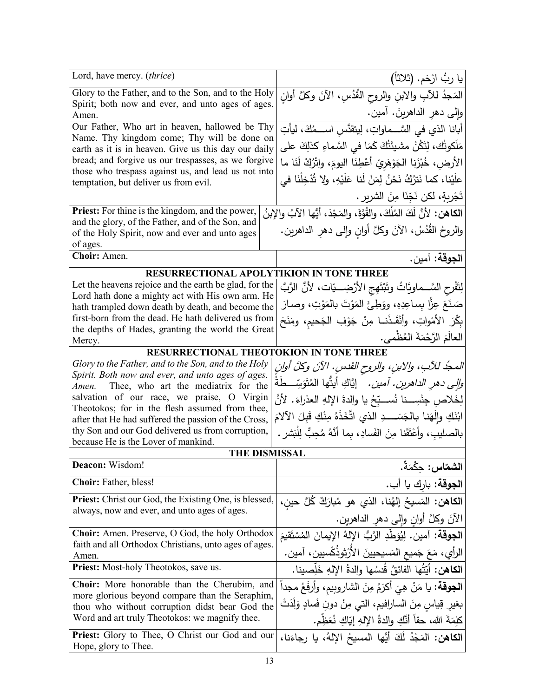| Lord, have mercy. (thrice)                                                                                  | يا ربُ ارْحَم. (ثلاثاً)                                                           |
|-------------------------------------------------------------------------------------------------------------|-----------------------------------------------------------------------------------|
| Glory to the Father, and to the Son, and to the Holy                                                        | المَجدُ للأبِ والابنِ والروحِ القُدُسِ، الآنَ وكلَّ أوانِ                         |
| Spirit; both now and ever, and unto ages of ages.<br>Amen.                                                  | وإلى دهر الداهرينَ. أمين.                                                         |
| Our Father, Who art in heaven, hallowed be Thy                                                              | أبانا الذي في السَّـــماواتِ، لِيتقدَّسِ اســــمُكَ، ليأتِ                        |
| Name. Thy kingdom come; Thy will be done on                                                                 |                                                                                   |
| earth as it is in heaven. Give us this day our daily<br>bread; and forgive us our trespasses, as we forgive | مَلَكوتُك، لِتَكُنْ مشيئَتُكَ كَمَا في السَّماءِ كذلِكَ على                       |
| those who trespass against us, and lead us not into                                                         | الأرض، خُبْزَنا الْجَوْهَرِيّ أَعْطِنَا اليومَ، واتْرُكْ لَنَا ما                 |
| temptation, but deliver us from evil.                                                                       | علَيْنا، كما نَترُكُ نَحْنُ لِمَنْ لَنا عَلَيْهِ، ولا تُدْخِلْنَا في              |
|                                                                                                             | تَجْرِبِةٍ، لكن نَجِّنَا مِنَ الشريرِ .                                           |
| <b>Priest:</b> For thine is the kingdom, and the power,                                                     | ا <b>لكاهن:</b> لأنَّ لَكَ المُلْكَ، والقُوَّةَ، والمَجْدَ، أَيُّها الآبُ والإبنُ |
| and the glory, of the Father, and of the Son, and<br>of the Holy Spirit, now and ever and unto ages         | والروحُ القُدُسُ، الآنَ وكلَّ أوانِ وإلىي دهرِ الداهرين.                          |
| of ages.                                                                                                    |                                                                                   |
| Choir: Amen.                                                                                                | ا <b>لجوقة:</b> آمين.                                                             |
| RESURRECTIONAL APOLYTIKION IN TONE THREE                                                                    |                                                                                   |
| Let the heavens rejoice and the earth be glad, for the                                                      | لِتَفْرِحِ السَّــماويَّاتُ وتَبْتَهِجِ الأَرْضِـــيّات، لأنَّ الرَّبَّ           |
| Lord hath done a mighty act with His own arm. He                                                            |                                                                                   |
| hath trampled down death by death, and become the                                                           | صَنَعَ عِزًّا بِساعِدِهِ، ووَطِئَ المَوْتَ بالمَوْتِ، وصارَ                       |
| first-born from the dead. He hath delivered us from<br>the depths of Hades, granting the world the Great    | بِكْرَ الأَمْواتِ، وأَنْقَـذَنــا مِنْ جَوْفِ الْجَحيم، ومَنَحَ                   |
| Mercy.                                                                                                      | العالَمَ الرَّحْمَةَ العُظْمي.                                                    |
| RESURRECTIONAL THEOTOKION IN TONE THREE                                                                     |                                                                                   |
| Glory to the Father, and to the Son, and to the Holy                                                        | المجدُ للآبِ، والإبنِ، والروح القدسِ. الآنَ وكلَّ أوانِ                           |
| Spirit. Both now and ever, and unto ages of ages.<br>Amen. Thee, who art the mediatrix for the              | <i>وإلى دهر الداهرين. آمين.</i> إيَّاكِ أيتُّها المُتَوَسِّــطَةُ                 |
| salvation of our race, we praise, O Virgin                                                                  | لِخَلاص جِنْسِــنا نُســبّحُ يا والدةَ الإلهِ العذراءَ. لأنَّ                     |
| Theotokos; for in the flesh assumed from thee,<br>after that He had suffered the passion of the Cross,      | ابْنَكِ وإلَهَنا بالجَسَــــدِ الذي اتَّخَذَهُ مِنْكِ قَبلَ الآلامَ               |
| thy Son and our God delivered us from corruption,                                                           | بالصليب، وأعْتَقَنا مِنَ الفَسادِ، بما أنَّهُ مُحِبٌّ لِلْبَشرِ .                 |
| because He is the Lover of mankind.                                                                         |                                                                                   |
| <b>THE DISMISSAL</b>                                                                                        |                                                                                   |
| Deacon: Wisdom!                                                                                             | ا <b>لشماس:</b> حكْمَةٌ.                                                          |
| Choir: Father, bless!                                                                                       | ا <b>لجوقة:</b> بارك يا أب.                                                       |
| <b>Priest:</b> Christ our God, the Existing One, is blessed,                                                | ا <b>لكاهن:</b> المَسيحُ إلهُنا، الذي هو مُبارَكٌ كُلَّ حينِ،                     |
| always, now and ever, and unto ages of ages.                                                                | الآنَ وكُلَّ أُوانٍ وإِلَى دهرِ الداهرينِ.                                        |
| <b>Choir:</b> Amen. Preserve, O God, the holy Orthodox                                                      | ا <b>لجوقة:</b> آمين. لِيُوَطِّدِ الرَّبُّ الإِلهُ الإِيمانَ المُسْتَقيمَ         |
| faith and all Orthodox Christians, unto ages of ages.                                                       | الرأى، مَعَ جَميع المَسيحيينَ الأَرْثوذُكْسيين، آمين.                             |
| Amen.<br>Priest: Most-holy Theotokos, save us.                                                              |                                                                                   |
|                                                                                                             | ا <b>لكاهن:</b> أَيّتُها الفائقُ قُدسُها والدةُ الإلهِ خَلِّصينا.                 |
| <b>Choir:</b> More honorable than the Cherubim, and                                                         | ا <b>لجوقة:</b> يا مَنْ هِيَ أَكرَمُ مِنَ الشاروبيم، وأرفَعُ مجداً                |
| more glorious beyond compare than the Seraphim,<br>thou who without corruption didst bear God the           | بغيرِ قِياسٍ مِنَ السارافيمِ، التي مِنْ دونِ فَسادٍ وَلَدَتْ                      |
| Word and art truly Theotokos: we magnify thee.                                                              | كلِمَةَ الله، حقاً أنَّكِ والدةُ اﻹلهِ إيّاكِ نُعَظِّم.                           |
| Priest: Glory to Thee, O Christ our God and our                                                             | ا <b>لكاهن:</b> المَجْدُ لَكَ أَيُّها المسيحُ الإِلهُ، يا رجاءَنا،                |
| Hope, glory to Thee.                                                                                        |                                                                                   |